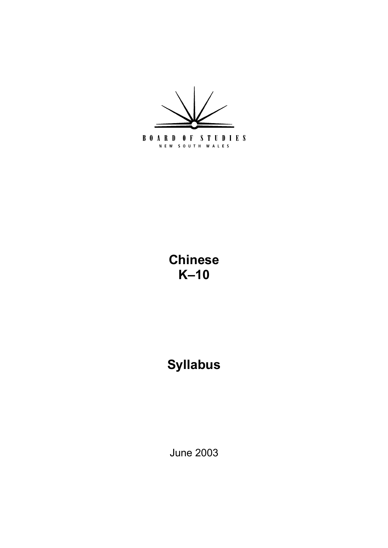

# **Chinese K** $-10$

# **Syllabus**

June 2003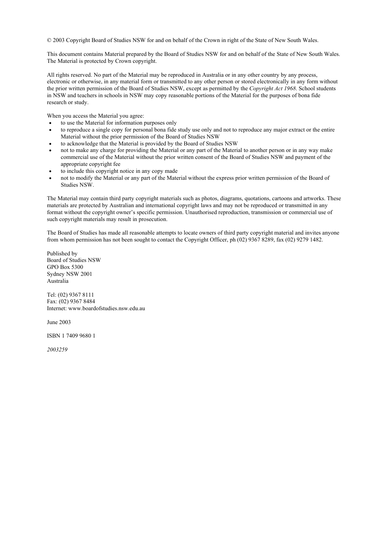© 2003 Copyright Board of Studies NSW for and on behalf of the Crown in right of the State of New South Wales.

This document contains Material prepared by the Board of Studies NSW for and on behalf of the State of New South Wales. The Material is protected by Crown copyright.

All rights reserved. No part of the Material may be reproduced in Australia or in any other country by any process, electronic or otherwise, in any material form or transmitted to any other person or stored electronically in any form without the prior written permission of the Board of Studies NSW, except as permitted by the *Copyright Act 1968*. School students in NSW and teachers in schools in NSW may copy reasonable portions of the Material for the purposes of bona fide research or study.

When you access the Material you agree:

- to use the Material for information purposes only
- to reproduce a single copy for personal bona fide study use only and not to reproduce any major extract or the entire Material without the prior permission of the Board of Studies NSW
- to acknowledge that the Material is provided by the Board of Studies NSW
- not to make any charge for providing the Material or any part of the Material to another person or in any way make commercial use of the Material without the prior written consent of the Board of Studies NSW and payment of the appropriate copyright fee
- to include this copyright notice in any copy made
- not to modify the Material or any part of the Material without the express prior written permission of the Board of Studies NSW.

The Material may contain third party copyright materials such as photos, diagrams, quotations, cartoons and artworks. These materials are protected by Australian and international copyright laws and may not be reproduced or transmitted in any format without the copyright owner's specific permission. Unauthorised reproduction, transmission or commercial use of such copyright materials may result in prosecution.

The Board of Studies has made all reasonable attempts to locate owners of third party copyright material and invites anyone from whom permission has not been sought to contact the Copyright Officer, ph (02) 9367 8289, fax (02) 9279 1482.

Published by Board of Studies NSW GPO Box 5300 Sydney NSW 2001 Australia

Tel: (02) 9367 8111 Fax: (02) 9367 8484 Internet: www.boardofstudies.nsw.edu.au

June 2003

ISBN 1 7409 9680 1

*2003259*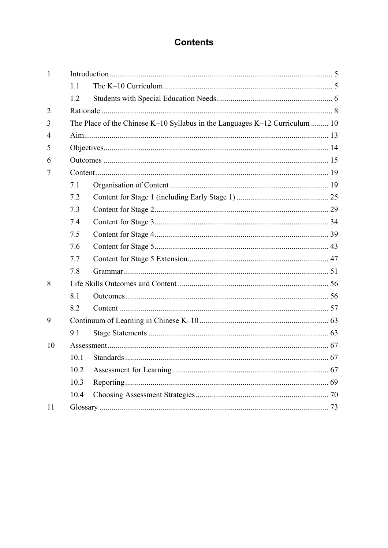# **Contents**

| $\mathbf{1}$   |      |                                                                             |    |  |  |  |
|----------------|------|-----------------------------------------------------------------------------|----|--|--|--|
|                | 1.1  |                                                                             |    |  |  |  |
|                | 1.2  |                                                                             |    |  |  |  |
| $\overline{2}$ |      |                                                                             |    |  |  |  |
| 3              |      | The Place of the Chinese K-10 Syllabus in the Languages K-12 Curriculum  10 |    |  |  |  |
| 4              |      |                                                                             |    |  |  |  |
| 5              |      |                                                                             |    |  |  |  |
| 6              |      |                                                                             |    |  |  |  |
| 7              |      |                                                                             |    |  |  |  |
|                | 7.1  |                                                                             |    |  |  |  |
|                | 7.2  |                                                                             |    |  |  |  |
|                | 7.3  |                                                                             |    |  |  |  |
|                | 7.4  |                                                                             |    |  |  |  |
|                | 7.5  |                                                                             |    |  |  |  |
|                | 7.6  |                                                                             |    |  |  |  |
|                | 7.7  |                                                                             |    |  |  |  |
|                | 7.8  |                                                                             |    |  |  |  |
| 8              |      |                                                                             |    |  |  |  |
|                | 8.1  |                                                                             |    |  |  |  |
|                | 8.2  |                                                                             |    |  |  |  |
| 9              |      |                                                                             |    |  |  |  |
|                | 9.1  |                                                                             |    |  |  |  |
| 10             |      |                                                                             |    |  |  |  |
|                |      | 10.1 Standards                                                              | 67 |  |  |  |
|                | 10.2 |                                                                             |    |  |  |  |
|                | 10.3 |                                                                             |    |  |  |  |
|                | 10.4 |                                                                             |    |  |  |  |
| 11             |      |                                                                             |    |  |  |  |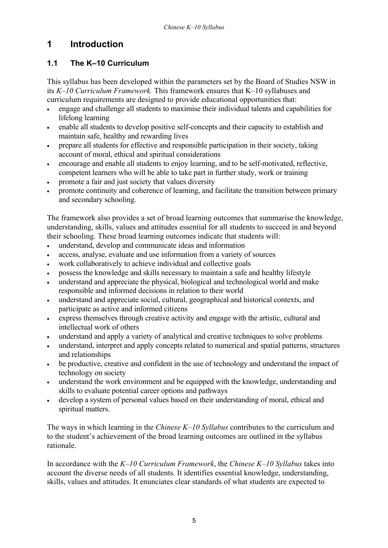# **1 Introduction**

### 1.1 The K-10 Curriculum

This syllabus has been developed within the parameters set by the Board of Studies NSW in its *K* $-10$  *Curriculum Framework*. This framework ensures that K $-10$  syllabuses and curriculum requirements are designed to provide educational opportunities that:

- engage and challenge all students to maximise their individual talents and capabilities for lifelong learning
- enable all students to develop positive self-concepts and their capacity to establish and maintain safe, healthy and rewarding lives
- prepare all students for effective and responsible participation in their society, taking account of moral, ethical and spiritual considerations
- encourage and enable all students to enjoy learning, and to be self-motivated, reflective, competent learners who will be able to take part in further study, work or training
- promote a fair and just society that values diversity
- promote continuity and coherence of learning, and facilitate the transition between primary and secondary schooling.

The framework also provides a set of broad learning outcomes that summarise the knowledge, understanding, skills, values and attitudes essential for all students to succeed in and beyond their schooling. These broad learning outcomes indicate that students will:

- understand, develop and communicate ideas and information
- access, analyse, evaluate and use information from a variety of sources
- work collaboratively to achieve individual and collective goals
- possess the knowledge and skills necessary to maintain a safe and healthy lifestyle
- understand and appreciate the physical, biological and technological world and make responsible and informed decisions in relation to their world
- understand and appreciate social, cultural, geographical and historical contexts, and participate as active and informed citizens
- express themselves through creative activity and engage with the artistic, cultural and intellectual work of others
- understand and apply a variety of analytical and creative techniques to solve problems
- understand, interpret and apply concepts related to numerical and spatial patterns, structures and relationships
- be productive, creative and confident in the use of technology and understand the impact of technology on society
- understand the work environment and be equipped with the knowledge, understanding and skills to evaluate potential career options and pathways
- develop a system of personal values based on their understanding of moral, ethical and spiritual matters.

The ways in which learning in the *Chinese K–10 Syllabus* contributes to the curriculum and to the student's achievement of the broad learning outcomes are outlined in the syllabus rationale.

In accordance with the *K*-10 Curriculum Framework, the Chinese *K*-10 Syllabus takes into account the diverse needs of all students. It identifies essential knowledge, understanding, skills, values and attitudes. It enunciates clear standards of what students are expected to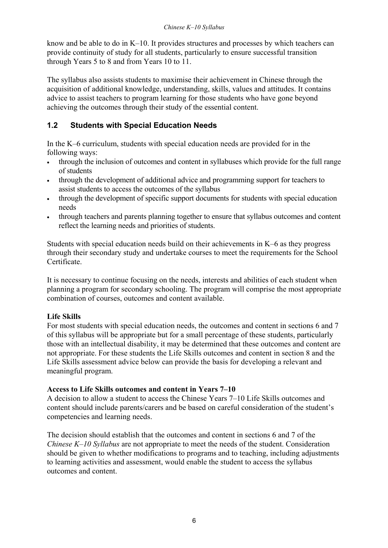#### *Chinese K-10 Syllabus*

know and be able to do in  $K-10$ . It provides structures and processes by which teachers can provide continuity of study for all students, particularly to ensure successful transition through Years 5 to 8 and from Years 10 to 11.

The syllabus also assists students to maximise their achievement in Chinese through the acquisition of additional knowledge, understanding, skills, values and attitudes. It contains advice to assist teachers to program learning for those students who have gone beyond achieving the outcomes through their study of the essential content.

### **1.2 Students with Special Education Needs**

In the K $\overline{-}6$  curriculum, students with special education needs are provided for in the following ways:

- through the inclusion of outcomes and content in syllabuses which provide for the full range of students
- through the development of additional advice and programming support for teachers to assist students to access the outcomes of the syllabus
- through the development of specific support documents for students with special education needs
- through teachers and parents planning together to ensure that syllabus outcomes and content reflect the learning needs and priorities of students.

Students with special education needs build on their achievements in  $K-6$  as they progress through their secondary study and undertake courses to meet the requirements for the School Certificate.

It is necessary to continue focusing on the needs, interests and abilities of each student when planning a program for secondary schooling. The program will comprise the most appropriate combination of courses, outcomes and content available.

#### **Life Skills**

For most students with special education needs, the outcomes and content in sections 6 and 7 of this syllabus will be appropriate but for a small percentage of these students, particularly those with an intellectual disability, it may be determined that these outcomes and content are not appropriate. For these students the Life Skills outcomes and content in section 8 and the Life Skills assessment advice below can provide the basis for developing a relevant and meaningful program.

#### **Access to Life Skills outcomes and content in Years 7–10**

A decision to allow a student to access the Chinese Years 7–10 Life Skills outcomes and content should include parents/carers and be based on careful consideration of the student's competencies and learning needs.

The decision should establish that the outcomes and content in sections 6 and 7 of the *Chinese K–10 Syllabus* are not appropriate to meet the needs of the student. Consideration should be given to whether modifications to programs and to teaching, including adjustments to learning activities and assessment, would enable the student to access the syllabus outcomes and content.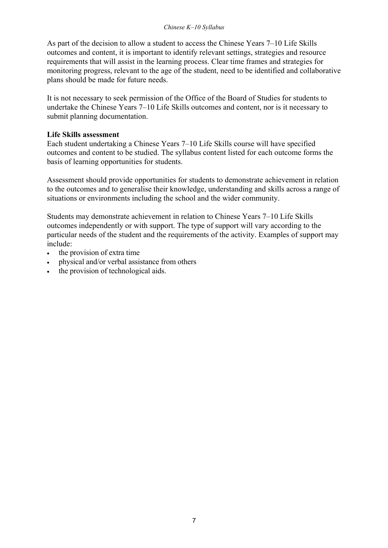#### *Chinese K-10 Syllabus*

As part of the decision to allow a student to access the Chinese Years  $7-10$  Life Skills outcomes and content, it is important to identify relevant settings, strategies and resource requirements that will assist in the learning process. Clear time frames and strategies for monitoring progress, relevant to the age of the student, need to be identified and collaborative plans should be made for future needs.

It is not necessary to seek permission of the Office of the Board of Studies for students to undertake the Chinese Years  $7-10$  Life Skills outcomes and content, nor is it necessary to submit planning documentation.

#### **Life Skills assessment**

Each student undertaking a Chinese Years 7–10 Life Skills course will have specified outcomes and content to be studied. The syllabus content listed for each outcome forms the basis of learning opportunities for students.

Assessment should provide opportunities for students to demonstrate achievement in relation to the outcomes and to generalise their knowledge, understanding and skills across a range of situations or environments including the school and the wider community.

Students may demonstrate achievement in relation to Chinese Years 7–10 Life Skills outcomes independently or with support. The type of support will vary according to the particular needs of the student and the requirements of the activity. Examples of support may include:

- the provision of extra time
- physical and/or verbal assistance from others
- the provision of technological aids.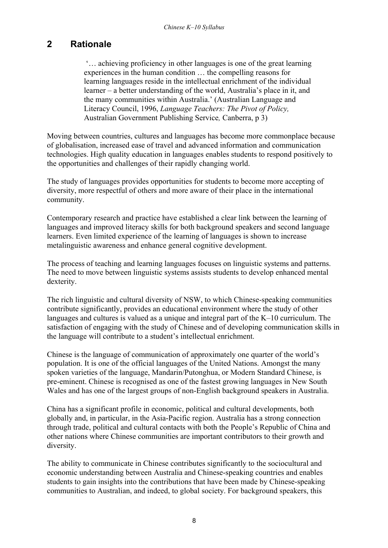# **2 Rationale**

 $\ldots$  achieving proficiency in other languages is one of the great learning experiences in the human condition  $\dots$  the compelling reasons for learning languages reside in the intellectual enrichment of the individual learner – a better understanding of the world, Australia's place in it, and the many communities within Australia.' (Australian Language and Literacy Council, 1996, *Language Teachers: The Pivot of Policy,*  Australian Government Publishing Service*,* Canberra, p 3)

Moving between countries, cultures and languages has become more commonplace because of globalisation, increased ease of travel and advanced information and communication technologies. High quality education in languages enables students to respond positively to the opportunities and challenges of their rapidly changing world.

The study of languages provides opportunities for students to become more accepting of diversity, more respectful of others and more aware of their place in the international community.

Contemporary research and practice have established a clear link between the learning of languages and improved literacy skills for both background speakers and second language learners. Even limited experience of the learning of languages is shown to increase metalinguistic awareness and enhance general cognitive development.

The process of teaching and learning languages focuses on linguistic systems and patterns. The need to move between linguistic systems assists students to develop enhanced mental dexterity.

The rich linguistic and cultural diversity of NSW, to which Chinese-speaking communities contribute significantly, provides an educational environment where the study of other languages and cultures is valued as a unique and integral part of the  $K-10$  curriculum. The satisfaction of engaging with the study of Chinese and of developing communication skills in the language will contribute to a student's intellectual enrichment.

Chinese is the language of communication of approximately one quarter of the world's population. It is one of the official languages of the United Nations. Amongst the many spoken varieties of the language, Mandarin/Putonghua, or Modern Standard Chinese, is pre-eminent. Chinese is recognised as one of the fastest growing languages in New South Wales and has one of the largest groups of non-English background speakers in Australia.

China has a significant profile in economic, political and cultural developments, both globally and, in particular, in the Asia-Pacific region. Australia has a strong connection through trade, political and cultural contacts with both the People's Republic of China and other nations where Chinese communities are important contributors to their growth and diversity.

The ability to communicate in Chinese contributes significantly to the sociocultural and economic understanding between Australia and Chinese-speaking countries and enables students to gain insights into the contributions that have been made by Chinese-speaking communities to Australian, and indeed, to global society. For background speakers, this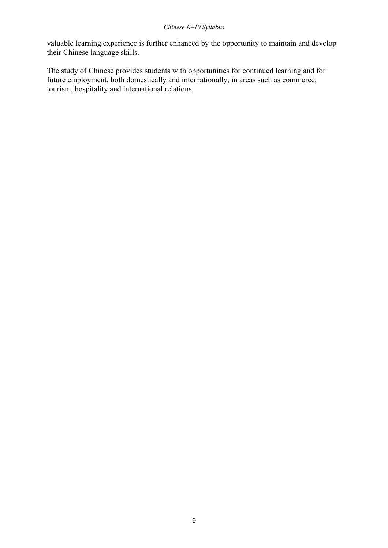valuable learning experience is further enhanced by the opportunity to maintain and develop their Chinese language skills.

The study of Chinese provides students with opportunities for continued learning and for future employment, both domestically and internationally, in areas such as commerce, tourism, hospitality and international relations.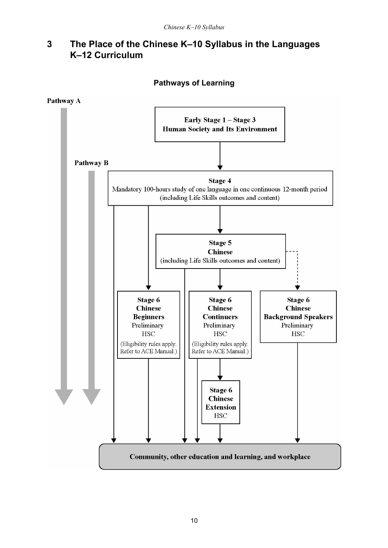# **3** The Place of the Chinese K-10 Syllabus in the Languages **K-12 Curriculum**

#### **Pathways of Learning**

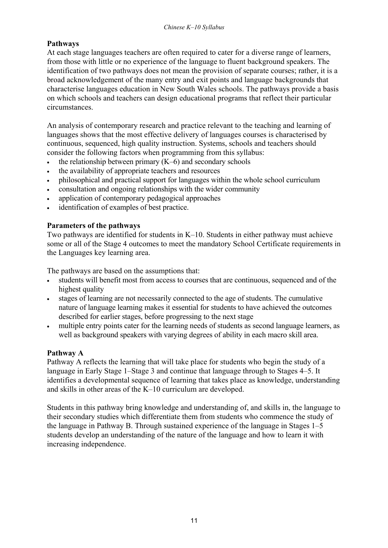#### **Pathways**

At each stage languages teachers are often required to cater for a diverse range of learners, from those with little or no experience of the language to fluent background speakers. The identification of two pathways does not mean the provision of separate courses; rather, it is a broad acknowledgement of the many entry and exit points and language backgrounds that characterise languages education in New South Wales schools. The pathways provide a basis on which schools and teachers can design educational programs that reflect their particular circumstances.

An analysis of contemporary research and practice relevant to the teaching and learning of languages shows that the most effective delivery of languages courses is characterised by continuous, sequenced, high quality instruction. Systems, schools and teachers should consider the following factors when programming from this syllabus:

- the relationship between primary  $(K-6)$  and secondary schools
- the availability of appropriate teachers and resources
- philosophical and practical support for languages within the whole school curriculum
- consultation and ongoing relationships with the wider community
- application of contemporary pedagogical approaches
- identification of examples of best practice.

#### **Parameters of the pathways**

Two pathways are identified for students in  $K-10$ . Students in either pathway must achieve some or all of the Stage 4 outcomes to meet the mandatory School Certificate requirements in the Languages key learning area.

The pathways are based on the assumptions that:

- students will benefit most from access to courses that are continuous, sequenced and of the highest quality
- stages of learning are not necessarily connected to the age of students. The cumulative nature of language learning makes it essential for students to have achieved the outcomes described for earlier stages, before progressing to the next stage
- multiple entry points cater for the learning needs of students as second language learners, as well as background speakers with varying degrees of ability in each macro skill area.

#### **Pathway A**

Pathway A reflects the learning that will take place for students who begin the study of a language in Early Stage 1–Stage 3 and continue that language through to Stages 4–5. It identifies a developmental sequence of learning that takes place as knowledge, understanding and skills in other areas of the  $K-10$  curriculum are developed.

Students in this pathway bring knowledge and understanding of, and skills in, the language to their secondary studies which differentiate them from students who commence the study of the language in Pathway B. Through sustained experience of the language in Stages  $1-5$ students develop an understanding of the nature of the language and how to learn it with increasing independence.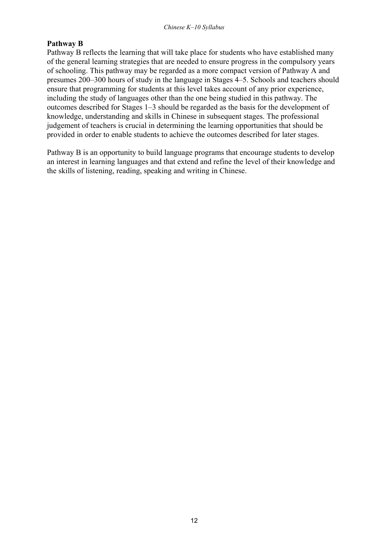#### **Pathway B**

Pathway B reflects the learning that will take place for students who have established many of the general learning strategies that are needed to ensure progress in the compulsory years of schooling. This pathway may be regarded as a more compact version of Pathway A and presumes 200–300 hours of study in the language in Stages 4–5. Schools and teachers should ensure that programming for students at this level takes account of any prior experience, including the study of languages other than the one being studied in this pathway. The outcomes described for Stages 1–3 should be regarded as the basis for the development of knowledge, understanding and skills in Chinese in subsequent stages. The professional judgement of teachers is crucial in determining the learning opportunities that should be provided in order to enable students to achieve the outcomes described for later stages.

Pathway B is an opportunity to build language programs that encourage students to develop an interest in learning languages and that extend and refine the level of their knowledge and the skills of listening, reading, speaking and writing in Chinese.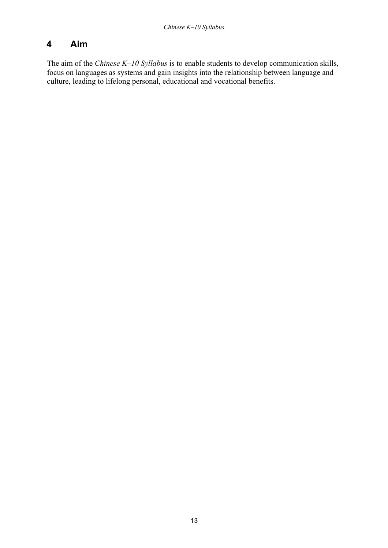# **4 Aim**

The aim of the *Chinese K-10 Syllabus* is to enable students to develop communication skills, focus on languages as systems and gain insights into the relationship between language and culture, leading to lifelong personal, educational and vocational benefits.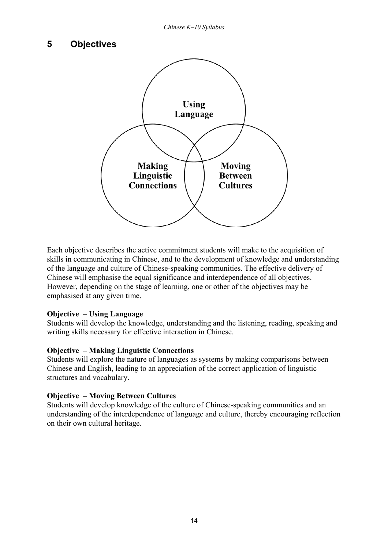### **5 Objectives**



Each objective describes the active commitment students will make to the acquisition of skills in communicating in Chinese, and to the development of knowledge and understanding of the language and culture of Chinese-speaking communities. The effective delivery of Chinese will emphasise the equal significance and interdependence of all objectives. However, depending on the stage of learning, one or other of the objectives may be emphasised at any given time.

#### **Objective – Using Language**

Students will develop the knowledge, understanding and the listening, reading, speaking and writing skills necessary for effective interaction in Chinese.

#### **Objective – Making Linguistic Connections**

Students will explore the nature of languages as systems by making comparisons between Chinese and English, leading to an appreciation of the correct application of linguistic structures and vocabulary.

#### **Objective – Moving Between Cultures**

Students will develop knowledge of the culture of Chinese-speaking communities and an understanding of the interdependence of language and culture, thereby encouraging reflection on their own cultural heritage.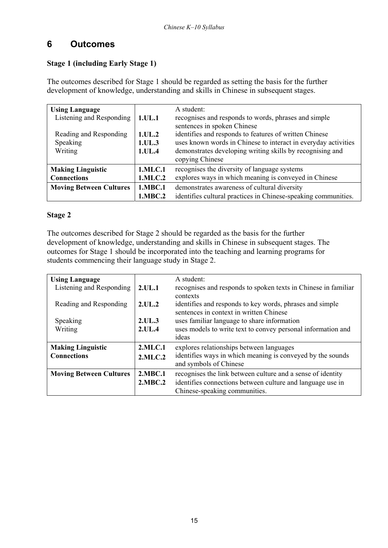# **6 Outcomes**

#### **Stage 1 (including Early Stage 1)**

The outcomes described for Stage 1 should be regarded as setting the basis for the further development of knowledge, understanding and skills in Chinese in subsequent stages.

| <b>Using Language</b><br>Listening and Responding<br>Reading and Responding<br>Speaking<br>Writing | 1.UL.1<br>1.UL.2<br>1.UL.3<br>1.UL.4 | A student:<br>recognises and responds to words, phrases and simple<br>sentences in spoken Chinese<br>identifies and responds to features of written Chinese<br>uses known words in Chinese to interact in everyday activities<br>demonstrates developing writing skills by recognising and<br>copying Chinese |
|----------------------------------------------------------------------------------------------------|--------------------------------------|---------------------------------------------------------------------------------------------------------------------------------------------------------------------------------------------------------------------------------------------------------------------------------------------------------------|
| <b>Making Linguistic</b><br><b>Connections</b>                                                     | 1.MLC.1<br>1.MLC.2                   | recognises the diversity of language systems<br>explores ways in which meaning is conveyed in Chinese                                                                                                                                                                                                         |
| <b>Moving Between Cultures</b>                                                                     | 1.MBC.1<br>1.MBC.2                   | demonstrates awareness of cultural diversity<br>identifies cultural practices in Chinese-speaking communities.                                                                                                                                                                                                |

#### **Stage 2**

The outcomes described for Stage 2 should be regarded as the basis for the further development of knowledge, understanding and skills in Chinese in subsequent stages. The outcomes for Stage 1 should be incorporated into the teaching and learning programs for students commencing their language study in Stage 2.

| <b>Using Language</b>          |            | A student:                                                     |
|--------------------------------|------------|----------------------------------------------------------------|
| Listening and Responding       | 2.UL.1     | recognises and responds to spoken texts in Chinese in familiar |
|                                |            | contexts                                                       |
| Reading and Responding         | 2.UL.2     | identifies and responds to key words, phrases and simple       |
|                                |            | sentences in context in written Chinese                        |
| Speaking                       | 2.UL.3     | uses familiar language to share information                    |
| Writing                        | 2.UL.4     | uses models to write text to convey personal information and   |
|                                |            | ideas                                                          |
| <b>Making Linguistic</b>       | $2$ .MLC.1 | explores relationships between languages                       |
| <b>Connections</b>             | 2.MLC.2    | identifies ways in which meaning is conveyed by the sounds     |
|                                |            | and symbols of Chinese                                         |
| <b>Moving Between Cultures</b> | 2.MBC.1    | recognises the link between culture and a sense of identity    |
|                                | 2.MBC.2    | identifies connections between culture and language use in     |
|                                |            | Chinese-speaking communities.                                  |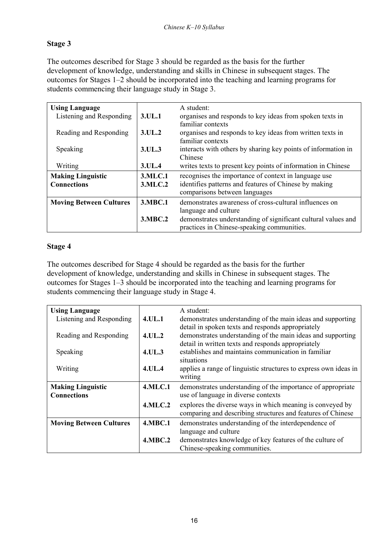### **Stage 3**

The outcomes described for Stage 3 should be regarded as the basis for the further development of knowledge, understanding and skills in Chinese in subsequent stages. The outcomes for Stages  $1-2$  should be incorporated into the teaching and learning programs for students commencing their language study in Stage 3.

| <b>Using Language</b>          |         | A student:                                                                                                  |
|--------------------------------|---------|-------------------------------------------------------------------------------------------------------------|
| Listening and Responding       | 3.UL.1  | organises and responds to key ideas from spoken texts in<br>familiar contexts                               |
| Reading and Responding         | 3.UL.2  | organises and responds to key ideas from written texts in<br>familiar contexts                              |
| Speaking                       | 3.UL.3  | interacts with others by sharing key points of information in<br>Chinese                                    |
| Writing                        | 3.UL.4  | writes texts to present key points of information in Chinese                                                |
| <b>Making Linguistic</b>       | 3.MLC.1 | recognises the importance of context in language use                                                        |
| <b>Connections</b>             | 3.MLC.2 | identifies patterns and features of Chinese by making<br>comparisons between languages                      |
| <b>Moving Between Cultures</b> | 3.MBC.1 | demonstrates awareness of cross-cultural influences on<br>language and culture                              |
|                                | 3.MBC.2 | demonstrates understanding of significant cultural values and<br>practices in Chinese-speaking communities. |

#### **Stage 4**

The outcomes described for Stage 4 should be regarded as the basis for the further development of knowledge, understanding and skills in Chinese in subsequent stages. The outcomes for Stages  $1-3$  should be incorporated into the teaching and learning programs for students commencing their language study in Stage 4.

| <b>Using Language</b>          |                | A student:                                                       |
|--------------------------------|----------------|------------------------------------------------------------------|
| Listening and Responding       | <b>4.UL.1</b>  | demonstrates understanding of the main ideas and supporting      |
|                                |                | detail in spoken texts and responds appropriately                |
| Reading and Responding         | 4.UL.2         | demonstrates understanding of the main ideas and supporting      |
|                                |                | detail in written texts and responds appropriately               |
| Speaking                       | 4.UL.3         | establishes and maintains communication in familiar              |
|                                |                |                                                                  |
|                                |                | situations                                                       |
| Writing                        | 4.UL.4         | applies a range of linguistic structures to express own ideas in |
|                                |                | writing                                                          |
| <b>Making Linguistic</b>       | <b>4.MLC.1</b> | demonstrates understanding of the importance of appropriate      |
| <b>Connections</b>             |                | use of language in diverse contexts                              |
|                                | <b>4.MLC.2</b> | explores the diverse ways in which meaning is conveyed by        |
|                                |                |                                                                  |
|                                |                | comparing and describing structures and features of Chinese      |
| <b>Moving Between Cultures</b> | <b>4.MBC.1</b> | demonstrates understanding of the interdependence of             |
|                                |                | language and culture                                             |
|                                | <b>4.MBC.2</b> | demonstrates knowledge of key features of the culture of         |
|                                |                |                                                                  |
|                                |                | Chinese-speaking communities.                                    |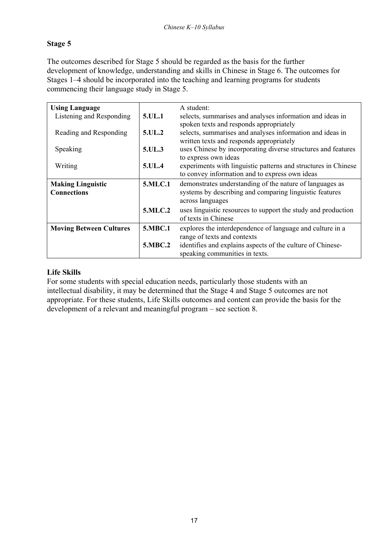### **Stage 5**

The outcomes described for Stage 5 should be regarded as the basis for the further development of knowledge, understanding and skills in Chinese in Stage 6. The outcomes for Stages 1–4 should be incorporated into the teaching and learning programs for students commencing their language study in Stage 5.

| <b>Using Language</b>          |                | A student:                                                     |
|--------------------------------|----------------|----------------------------------------------------------------|
| Listening and Responding       | 5.UL.1         | selects, summarises and analyses information and ideas in      |
|                                |                | spoken texts and responds appropriately                        |
| Reading and Responding         | 5.UL.2         | selects, summarises and analyses information and ideas in      |
|                                |                | written texts and responds appropriately                       |
| Speaking                       | 5.UL.3         | uses Chinese by incorporating diverse structures and features  |
|                                |                | to express own ideas                                           |
| Writing                        | 5.UL.4         | experiments with linguistic patterns and structures in Chinese |
|                                |                | to convey information and to express own ideas                 |
| <b>Making Linguistic</b>       | 5.MLC.1        | demonstrates understanding of the nature of languages as       |
| <b>Connections</b>             |                | systems by describing and comparing linguistic features        |
|                                |                | across languages                                               |
|                                | <b>5.MLC.2</b> | uses linguistic resources to support the study and production  |
|                                |                | of texts in Chinese                                            |
| <b>Moving Between Cultures</b> | 5.MBC.1        | explores the interdependence of language and culture in a      |
|                                |                | range of texts and contexts                                    |
|                                | <b>5.MBC.2</b> | identifies and explains aspects of the culture of Chinese-     |
|                                |                | speaking communities in texts.                                 |

#### **Life Skills**

For some students with special education needs, particularly those students with an intellectual disability, it may be determined that the Stage 4 and Stage 5 outcomes are not appropriate. For these students, Life Skills outcomes and content can provide the basis for the development of a relevant and meaningful program  $-$  see section 8.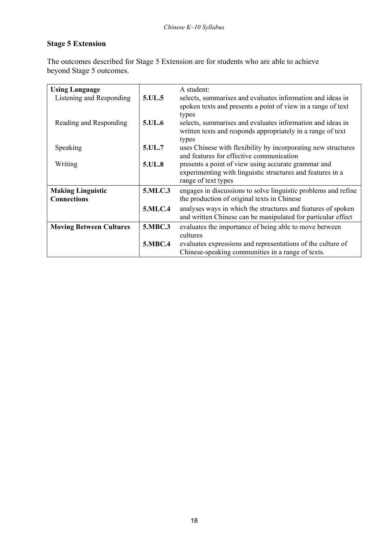### **Stage 5 Extension**

The outcomes described for Stage 5 Extension are for students who are able to achieve beyond Stage 5 outcomes.

| <b>Using Language</b>          |                | A student:                                                     |
|--------------------------------|----------------|----------------------------------------------------------------|
| Listening and Responding       | 5.UL.5         | selects, summarises and evaluates information and ideas in     |
|                                |                |                                                                |
|                                |                | spoken texts and presents a point of view in a range of text   |
|                                |                | types                                                          |
| Reading and Responding         | 5.UL.6         | selects, summarises and evaluates information and ideas in     |
|                                |                | written texts and responds appropriately in a range of text    |
|                                |                | types                                                          |
| Speaking                       | 5.UL.7         | uses Chinese with flexibility by incorporating new structures  |
|                                |                | and features for effective communication                       |
| Writing                        | 5.UL.8         | presents a point of view using accurate grammar and            |
|                                |                | experimenting with linguistic structures and features in a     |
|                                |                | range of text types                                            |
| <b>Making Linguistic</b>       | 5.MLC.3        | engages in discussions to solve linguistic problems and refine |
| <b>Connections</b>             |                | the production of original texts in Chinese                    |
|                                | 5.MLC.4        | analyses ways in which the structures and features of spoken   |
|                                |                | and written Chinese can be manipulated for particular effect   |
| <b>Moving Between Cultures</b> | 5.MBC.3        | evaluates the importance of being able to move between         |
|                                |                | cultures                                                       |
|                                | <b>5.MBC.4</b> | evaluates expressions and representations of the culture of    |
|                                |                | Chinese-speaking communities in a range of texts.              |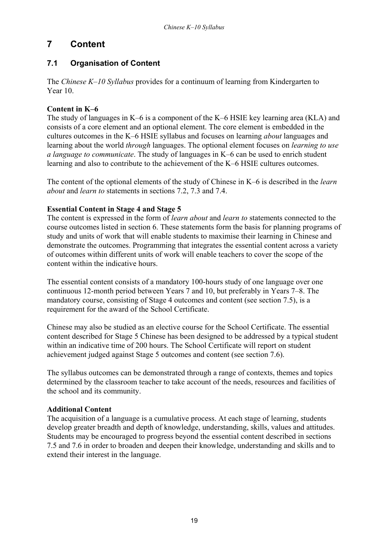## **7 Content**

### **7.1 Organisation of Content**

The *Chinese K–10 Syllabus* provides for a continuum of learning from Kindergarten to Year 10.

#### **Content in K-6**

The study of languages in  $K-6$  is a component of the K $-6$  HSIE key learning area (KLA) and consists of a core element and an optional element. The core element is embedded in the cultures outcomes in the K–6 HSIE syllabus and focuses on learning *about* languages and learning about the world *through* languages. The optional element focuses on *learning to use a language to communicate*. The study of languages in K–6 can be used to enrich student learning and also to contribute to the achievement of the K–6 HSIE cultures outcomes.

The content of the optional elements of the study of Chinese in K–6 is described in the *learn about* and *learn to* statements in sections 7.2, 7.3 and 7.4.

#### **Essential Content in Stage 4 and Stage 5**

The content is expressed in the form of *learn about* and *learn to* statements connected to the course outcomes listed in section 6. These statements form the basis for planning programs of study and units of work that will enable students to maximise their learning in Chinese and demonstrate the outcomes. Programming that integrates the essential content across a variety of outcomes within different units of work will enable teachers to cover the scope of the content within the indicative hours.

The essential content consists of a mandatory 100-hours study of one language over one continuous 12-month period between Years 7 and 10, but preferably in Years 7–8. The mandatory course, consisting of Stage 4 outcomes and content (see section 7.5), is a requirement for the award of the School Certificate.

Chinese may also be studied as an elective course for the School Certificate. The essential content described for Stage 5 Chinese has been designed to be addressed by a typical student within an indicative time of 200 hours. The School Certificate will report on student achievement judged against Stage 5 outcomes and content (see section 7.6).

The syllabus outcomes can be demonstrated through a range of contexts, themes and topics determined by the classroom teacher to take account of the needs, resources and facilities of the school and its community.

#### **Additional Content**

The acquisition of a language is a cumulative process. At each stage of learning, students develop greater breadth and depth of knowledge, understanding, skills, values and attitudes. Students may be encouraged to progress beyond the essential content described in sections 7.5 and 7.6 in order to broaden and deepen their knowledge, understanding and skills and to extend their interest in the language.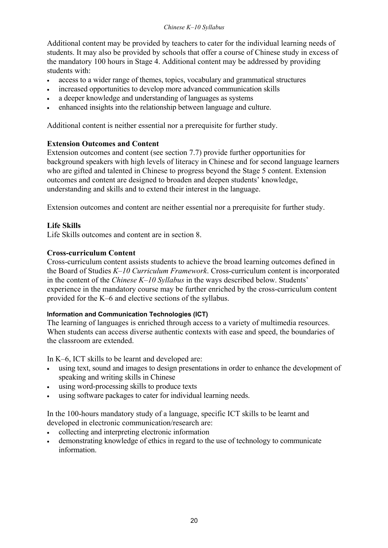Additional content may be provided by teachers to cater for the individual learning needs of students. It may also be provided by schools that offer a course of Chinese study in excess of the mandatory 100 hours in Stage 4. Additional content may be addressed by providing students with:

- access to a wider range of themes, topics, vocabulary and grammatical structures
- increased opportunities to develop more advanced communication skills
- a deeper knowledge and understanding of languages as systems
- enhanced insights into the relationship between language and culture.

Additional content is neither essential nor a prerequisite for further study.

#### **Extension Outcomes and Content**

Extension outcomes and content (see section 7.7) provide further opportunities for background speakers with high levels of literacy in Chinese and for second language learners who are gifted and talented in Chinese to progress beyond the Stage 5 content. Extension outcomes and content are designed to broaden and deepen students' knowledge, understanding and skills and to extend their interest in the language.

Extension outcomes and content are neither essential nor a prerequisite for further study.

#### **Life Skills**

Life Skills outcomes and content are in section 8.

#### **Cross-curriculum Content**

Cross-curriculum content assists students to achieve the broad learning outcomes defined in the Board of Studies *K*-10 Curriculum Framework. Cross-curriculum content is incorporated in the content of the *Chinese K–10 Syllabus* in the ways described below. Students<sup>7</sup> experience in the mandatory course may be further enriched by the cross-curriculum content provided for the  $K-6$  and elective sections of the syllabus.

#### **Information and Communication Technologies (ICT)**

The learning of languages is enriched through access to a variety of multimedia resources. When students can access diverse authentic contexts with ease and speed, the boundaries of the classroom are extended.

In  $K-6$ , ICT skills to be learnt and developed are:

- using text, sound and images to design presentations in order to enhance the development of speaking and writing skills in Chinese
- using word-processing skills to produce texts
- using software packages to cater for individual learning needs.

In the 100-hours mandatory study of a language, specific ICT skills to be learnt and developed in electronic communication/research are:

- collecting and interpreting electronic information
- demonstrating knowledge of ethics in regard to the use of technology to communicate information.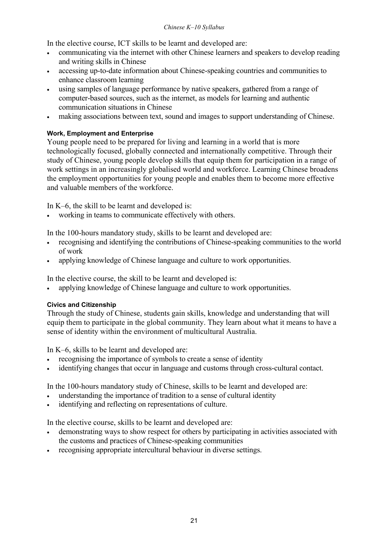#### *Chinese K-10 Syllabus*

In the elective course, ICT skills to be learnt and developed are:

- communicating via the internet with other Chinese learners and speakers to develop reading and writing skills in Chinese
- accessing up-to-date information about Chinese-speaking countries and communities to enhance classroom learning
- using samples of language performance by native speakers, gathered from a range of computer-based sources, such as the internet, as models for learning and authentic communication situations in Chinese
- making associations between text, sound and images to support understanding of Chinese.

#### **Work, Employment and Enterprise**

Young people need to be prepared for living and learning in a world that is more technologically focused, globally connected and internationally competitive. Through their study of Chinese, young people develop skills that equip them for participation in a range of work settings in an increasingly globalised world and workforce. Learning Chinese broadens the employment opportunities for young people and enables them to become more effective and valuable members of the workforce.

In  $K-6$ , the skill to be learnt and developed is:

working in teams to communicate effectively with others.

In the 100-hours mandatory study, skills to be learnt and developed are:

- recognising and identifying the contributions of Chinese-speaking communities to the world of work
- applying knowledge of Chinese language and culture to work opportunities.

In the elective course, the skill to be learnt and developed is:

• applying knowledge of Chinese language and culture to work opportunities.

#### **Civics and Citizenship**

Through the study of Chinese, students gain skills, knowledge and understanding that will equip them to participate in the global community. They learn about what it means to have a sense of identity within the environment of multicultural Australia.

In  $K-6$ , skills to be learnt and developed are:

- recognising the importance of symbols to create a sense of identity
- identifying changes that occur in language and customs through cross-cultural contact.

In the 100-hours mandatory study of Chinese, skills to be learnt and developed are:

- understanding the importance of tradition to a sense of cultural identity
- identifying and reflecting on representations of culture.

In the elective course, skills to be learnt and developed are:

- demonstrating ways to show respect for others by participating in activities associated with the customs and practices of Chinese-speaking communities
- recognising appropriate intercultural behaviour in diverse settings.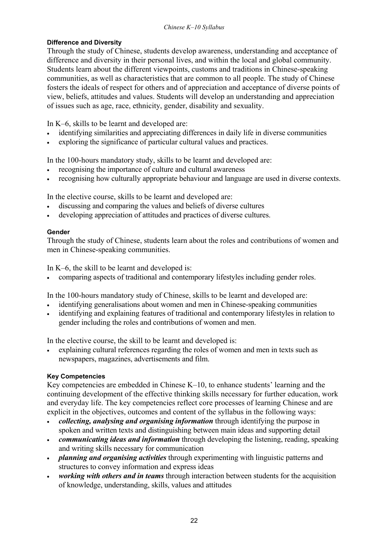#### **Difference and Diversity**

Through the study of Chinese, students develop awareness, understanding and acceptance of difference and diversity in their personal lives, and within the local and global community. Students learn about the different viewpoints, customs and traditions in Chinese-speaking communities, as well as characteristics that are common to all people. The study of Chinese fosters the ideals of respect for others and of appreciation and acceptance of diverse points of view, beliefs, attitudes and values. Students will develop an understanding and appreciation of issues such as age, race, ethnicity, gender, disability and sexuality.

In  $K-6$ , skills to be learnt and developed are:

- identifying similarities and appreciating differences in daily life in diverse communities
- exploring the significance of particular cultural values and practices.

In the 100-hours mandatory study, skills to be learnt and developed are:

- recognising the importance of culture and cultural awareness
- recognising how culturally appropriate behaviour and language are used in diverse contexts.

In the elective course, skills to be learnt and developed are:

- discussing and comparing the values and beliefs of diverse cultures
- developing appreciation of attitudes and practices of diverse cultures.

#### **Gender**

Through the study of Chinese, students learn about the roles and contributions of women and men in Chinese-speaking communities.

In  $K-6$ , the skill to be learnt and developed is:

• comparing aspects of traditional and contemporary lifestyles including gender roles.

In the 100-hours mandatory study of Chinese, skills to be learnt and developed are:

- identifying generalisations about women and men in Chinese-speaking communities
- identifying and explaining features of traditional and contemporary lifestyles in relation to gender including the roles and contributions of women and men.

In the elective course, the skill to be learnt and developed is:

• explaining cultural references regarding the roles of women and men in texts such as newspapers, magazines, advertisements and film.

#### **Key Competencies**

Key competencies are embedded in Chinese  $K-10$ , to enhance students<sup> $\cdot$ </sup> learning and the continuing development of the effective thinking skills necessary for further education, work and everyday life. The key competencies reflect core processes of learning Chinese and are explicit in the objectives, outcomes and content of the syllabus in the following ways:

- *collecting, analysing and organising information* through identifying the purpose in spoken and written texts and distinguishing between main ideas and supporting detail
- *communicating ideas and information* through developing the listening, reading, speaking and writing skills necessary for communication
- *planning and organising activities* through experimenting with linguistic patterns and structures to convey information and express ideas
- *working with others and in teams* through interaction between students for the acquisition of knowledge, understanding, skills, values and attitudes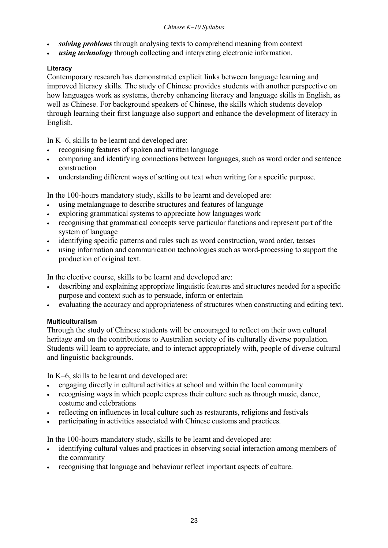- *solving problems* through analysing texts to comprehend meaning from context
- **using technology** through collecting and interpreting electronic information.

#### **Literacy**

Contemporary research has demonstrated explicit links between language learning and improved literacy skills. The study of Chinese provides students with another perspective on how languages work as systems, thereby enhancing literacy and language skills in English, as well as Chinese. For background speakers of Chinese, the skills which students develop through learning their first language also support and enhance the development of literacy in English.

In  $K-6$ , skills to be learnt and developed are:

- recognising features of spoken and written language
- comparing and identifying connections between languages, such as word order and sentence construction
- understanding different ways of setting out text when writing for a specific purpose.

In the 100-hours mandatory study, skills to be learnt and developed are:

- using metalanguage to describe structures and features of language
- exploring grammatical systems to appreciate how languages work
- recognising that grammatical concepts serve particular functions and represent part of the system of language
- identifying specific patterns and rules such as word construction, word order, tenses
- using information and communication technologies such as word-processing to support the production of original text.

In the elective course, skills to be learnt and developed are:

- describing and explaining appropriate linguistic features and structures needed for a specific purpose and context such as to persuade, inform or entertain
- evaluating the accuracy and appropriateness of structures when constructing and editing text.

#### **Multiculturalism**

Through the study of Chinese students will be encouraged to reflect on their own cultural heritage and on the contributions to Australian society of its culturally diverse population. Students will learn to appreciate, and to interact appropriately with, people of diverse cultural and linguistic backgrounds.

In  $K-6$ , skills to be learnt and developed are:

- engaging directly in cultural activities at school and within the local community
- recognising ways in which people express their culture such as through music, dance, costume and celebrations
- reflecting on influences in local culture such as restaurants, religions and festivals
- participating in activities associated with Chinese customs and practices.

In the 100-hours mandatory study, skills to be learnt and developed are:

- identifying cultural values and practices in observing social interaction among members of the community
- recognising that language and behaviour reflect important aspects of culture.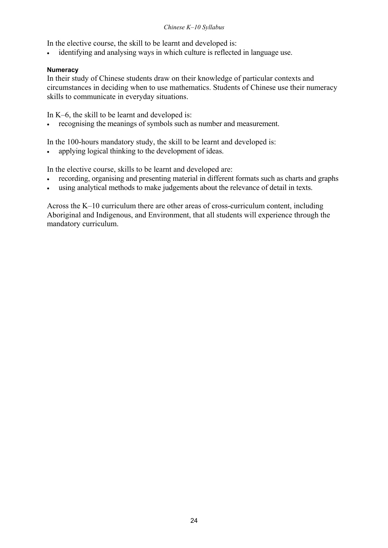#### *Chinese K-10 Syllabus*

In the elective course, the skill to be learnt and developed is:

• identifying and analysing ways in which culture is reflected in language use.

#### **Numeracy**

In their study of Chinese students draw on their knowledge of particular contexts and circumstances in deciding when to use mathematics. Students of Chinese use their numeracy skills to communicate in everyday situations.

In K–6, the skill to be learnt and developed is:

• recognising the meanings of symbols such as number and measurement.

In the 100-hours mandatory study, the skill to be learnt and developed is:

• applying logical thinking to the development of ideas.

In the elective course, skills to be learnt and developed are:

- recording, organising and presenting material in different formats such as charts and graphs
- using analytical methods to make judgements about the relevance of detail in texts.

Across the  $K-10$  curriculum there are other areas of cross-curriculum content, including Aboriginal and Indigenous, and Environment, that all students will experience through the mandatory curriculum.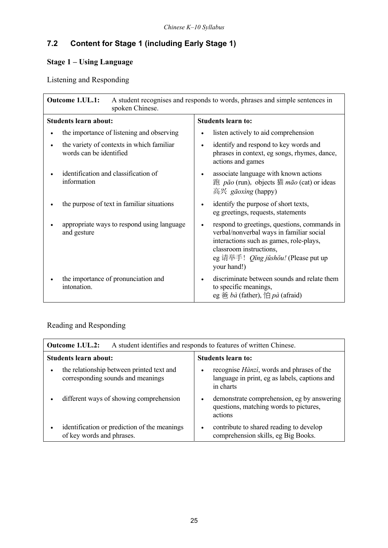# **7.2 Content for Stage 1 (including Early Stage 1)**

## **Stage 1 - Using Language**

Listening and Responding

| Outcome 1.UL.1:<br>spoken Chinese.                                   | A student recognises and responds to words, phrases and simple sentences in                                                                                                                                                              |  |
|----------------------------------------------------------------------|------------------------------------------------------------------------------------------------------------------------------------------------------------------------------------------------------------------------------------------|--|
| <b>Students learn about:</b>                                         | <b>Students learn to:</b>                                                                                                                                                                                                                |  |
| the importance of listening and observing                            | listen actively to aid comprehension                                                                                                                                                                                                     |  |
| the variety of contexts in which familiar<br>words can be identified | identify and respond to key words and<br>$\bullet$<br>phrases in context, eg songs, rhymes, dance,<br>actions and games                                                                                                                  |  |
| identification and classification of<br>information                  | associate language with known actions<br>$\bullet$<br>跑 <i>pǎo</i> (run), objects 猫 $m\bar{a}o$ (cat) or ideas<br>高兴 <i>gāoxìng</i> (happy)                                                                                              |  |
| the purpose of text in familiar situations                           | identify the purpose of short texts,<br>eg greetings, requests, statements                                                                                                                                                               |  |
| appropriate ways to respond using language<br>and gesture            | respond to greetings, questions, commands in<br>$\bullet$<br>verbal/nonverbal ways in familiar social<br>interactions such as games, role-plays,<br>classroom instructions,<br>eg 请举手! <i>Qǐng jǔshǒu!</i> (Please put up<br>your hand!) |  |
| the importance of pronunciation and<br>intonation.                   | discriminate between sounds and relate them<br>to specific meanings,<br>eg 爸 bà (father), 怕 pà (afraid)                                                                                                                                  |  |

### Reading and Responding

| Outcome 1.UL.2:<br>A student identifies and responds to features of written Chinese. |                                                                                                                              |  |
|--------------------------------------------------------------------------------------|------------------------------------------------------------------------------------------------------------------------------|--|
| <b>Students learn about:</b>                                                         | Students learn to:                                                                                                           |  |
| the relationship between printed text and<br>corresponding sounds and meanings       | recognise <i>Hànzì</i> , words and phrases of the<br>$\bullet$<br>language in print, eg as labels, captions and<br>in charts |  |
| different ways of showing comprehension                                              | demonstrate comprehension, eg by answering<br>$\bullet$<br>questions, matching words to pictures,<br>actions                 |  |
| identification or prediction of the meanings<br>of key words and phrases.            | contribute to shared reading to develop<br>$\bullet$<br>comprehension skills, eg Big Books.                                  |  |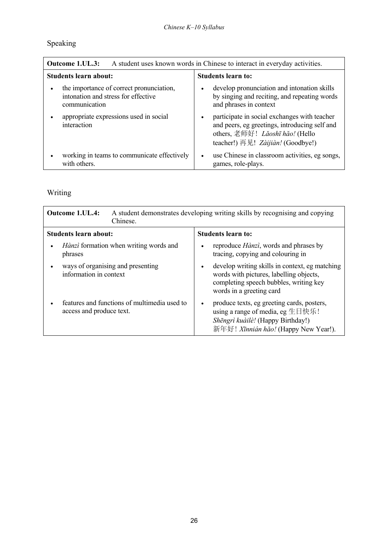# Speaking

| A student uses known words in Chinese to interact in everyday activities.<br>Outcome 1.UL.3:     |                                                                                                                                                                       |  |
|--------------------------------------------------------------------------------------------------|-----------------------------------------------------------------------------------------------------------------------------------------------------------------------|--|
| <b>Students learn about:</b>                                                                     | <b>Students learn to:</b>                                                                                                                                             |  |
| the importance of correct pronunciation,<br>intonation and stress for effective<br>communication | develop pronunciation and intonation skills<br>by singing and reciting, and repeating words<br>and phrases in context                                                 |  |
| appropriate expressions used in social<br>interaction                                            | participate in social exchanges with teacher<br>and peers, eg greetings, introducing self and<br>others, 老师好! Lăoshī hăo! (Hello<br>teacher!) 再见! Zàijiàn! (Goodbye!) |  |
| working in teams to communicate effectively<br>with others.                                      | use Chinese in classroom activities, eg songs,<br>$\bullet$<br>games, role-plays.                                                                                     |  |

# Writing

| <b>Outcome 1.UL.4:</b><br>Chinese.                                       | A student demonstrates developing writing skills by recognising and copying                                                                                                  |
|--------------------------------------------------------------------------|------------------------------------------------------------------------------------------------------------------------------------------------------------------------------|
| <b>Students learn about:</b>                                             | <b>Students learn to:</b>                                                                                                                                                    |
| <i>Hànzì</i> formation when writing words and<br>phrases                 | reproduce <i>Hànzì</i> , words and phrases by<br>$\bullet$<br>tracing, copying and colouring in                                                                              |
| ways of organising and presenting<br>information in context              | develop writing skills in context, eg matching<br>$\bullet$<br>words with pictures, labelling objects,<br>completing speech bubbles, writing key<br>words in a greeting card |
| features and functions of multimedia used to<br>access and produce text. | produce texts, eg greeting cards, posters,<br>$\bullet$<br>using a range of media, eg 生日快乐!<br>Shēngrì kuàilè! (Happy Birthday!)<br>新年好! Xīnnián hǎo! (Happy New Year!).     |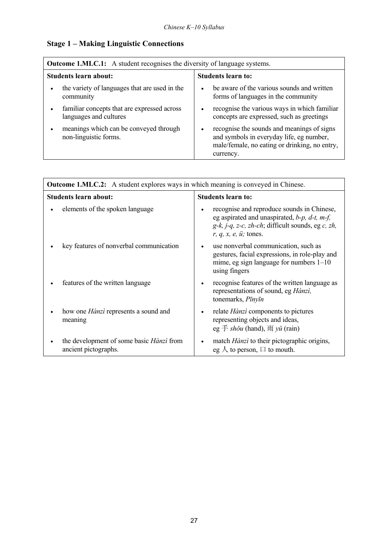## **Stage 1 - Making Linguistic Connections**

| <b>Outcome 1.MLC.1:</b> A student recognises the diversity of language systems. |                                                                                                                                                      |  |  |
|---------------------------------------------------------------------------------|------------------------------------------------------------------------------------------------------------------------------------------------------|--|--|
| Students learn about:                                                           | <b>Students learn to:</b>                                                                                                                            |  |  |
| the variety of languages that are used in the<br>community                      | be aware of the various sounds and written<br>$\bullet$<br>forms of languages in the community                                                       |  |  |
| familiar concepts that are expressed across<br>languages and cultures           | recognise the various ways in which familiar<br>$\bullet$<br>concepts are expressed, such as greetings                                               |  |  |
| meanings which can be conveyed through<br>non-linguistic forms.                 | recognise the sounds and meanings of signs<br>and symbols in everyday life, eg number,<br>male/female, no eating or drinking, no entry,<br>currency. |  |  |

| <b>Outcome 1.MLC.2:</b> A student explores ways in which meaning is conveyed in Chinese. |                                                                                                                                                                                                                                   |  |
|------------------------------------------------------------------------------------------|-----------------------------------------------------------------------------------------------------------------------------------------------------------------------------------------------------------------------------------|--|
| Students learn about:                                                                    | <b>Students learn to:</b>                                                                                                                                                                                                         |  |
| elements of the spoken language                                                          | recognise and reproduce sounds in Chinese,<br>٠<br>eg aspirated and unaspirated, $b$ -p, $d$ -t, m-f,<br>$g-k$ , <i>j-q</i> , <i>z-c</i> , <i>zh-ch</i> ; difficult sounds, eg <i>c</i> , <i>zh</i> ,<br>$r, q, x, e, u$ ; tones. |  |
| key features of nonverbal communication                                                  | use nonverbal communication, such as<br>$\bullet$<br>gestures, facial expressions, in role-play and<br>mime, eg sign language for numbers $1-10$<br>using fingers                                                                 |  |
| features of the written language                                                         | recognise features of the written language as<br>$\bullet$<br>representations of sound, eg Hànzi,<br>tonemarks, Pīnyīn                                                                                                            |  |
| how one <i>Hànzì</i> represents a sound and<br>meaning                                   | relate Hànzì components to pictures<br>٠<br>representing objects and ideas,<br>eg $\ddagger$ shǒu (hand), $\overline{N}$ yǔ (rain)                                                                                                |  |
| the development of some basic <i>Hànzì</i> from<br>ancient pictographs.                  | match <i>Hànzì</i> to their pictographic origins,<br>٠<br>eg $\wedge$ to person, $\Box$ to mouth.                                                                                                                                 |  |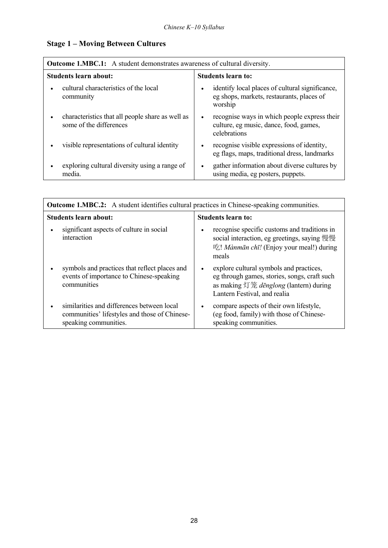## **Stage 1 - Moving Between Cultures**

| <b>Outcome 1.MBC.1:</b> A student demonstrates awareness of cultural diversity. |                                                                                                                      |  |
|---------------------------------------------------------------------------------|----------------------------------------------------------------------------------------------------------------------|--|
| <b>Students learn about:</b>                                                    | <b>Students learn to:</b>                                                                                            |  |
| cultural characteristics of the local<br>community                              | identify local places of cultural significance,<br>$\bullet$<br>eg shops, markets, restaurants, places of<br>worship |  |
| characteristics that all people share as well as<br>some of the differences     | recognise ways in which people express their<br>$\bullet$<br>culture, eg music, dance, food, games,<br>celebrations  |  |
| visible representations of cultural identity                                    | recognise visible expressions of identity,<br>$\bullet$<br>eg flags, maps, traditional dress, landmarks              |  |
| exploring cultural diversity using a range of<br>media.                         | gather information about diverse cultures by<br>$\bullet$<br>using media, eg posters, puppets.                       |  |

| <b>Outcome 1.MBC.2:</b> A student identifies cultural practices in Chinese-speaking communities.                     |                                                                                                                                                                                |  |
|----------------------------------------------------------------------------------------------------------------------|--------------------------------------------------------------------------------------------------------------------------------------------------------------------------------|--|
| Students learn about:                                                                                                | <b>Students learn to:</b>                                                                                                                                                      |  |
| significant aspects of culture in social<br>interaction                                                              | recognise specific customs and traditions in<br>$\bullet$<br>social interaction, eg greetings, saying 慢慢<br>吃! Mànmān chī! (Enjoy your meal!) during<br>meals                  |  |
| symbols and practices that reflect places and<br>events of importance to Chinese-speaking<br>communities             | explore cultural symbols and practices,<br>$\bullet$<br>eg through games, stories, songs, craft such<br>as making 灯笼 dēnglong (lantern) during<br>Lantern Festival, and realia |  |
| similarities and differences between local<br>communities' lifestyles and those of Chinese-<br>speaking communities. | compare aspects of their own lifestyle,<br>$\bullet$<br>(eg food, family) with those of Chinese-<br>speaking communities.                                                      |  |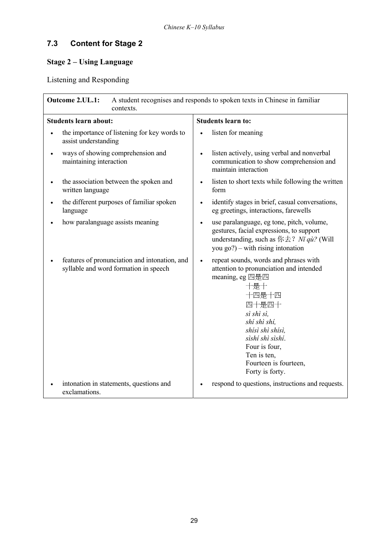# **7.3 Content for Stage 2**

## **Stage 2 - Using Language**

Listening and Responding

| Outcome 2.UL.1:<br>A student recognises and responds to spoken texts in Chinese in familiar<br>contexts. |                                                                                                                                                                                                                                                                                             |  |  |
|----------------------------------------------------------------------------------------------------------|---------------------------------------------------------------------------------------------------------------------------------------------------------------------------------------------------------------------------------------------------------------------------------------------|--|--|
| <b>Students learn about:</b>                                                                             | <b>Students learn to:</b>                                                                                                                                                                                                                                                                   |  |  |
| the importance of listening for key words to<br>assist understanding                                     | listen for meaning                                                                                                                                                                                                                                                                          |  |  |
| ways of showing comprehension and<br>maintaining interaction                                             | listen actively, using verbal and nonverbal<br>$\bullet$<br>communication to show comprehension and<br>maintain interaction                                                                                                                                                                 |  |  |
| the association between the spoken and<br>written language                                               | listen to short texts while following the written<br>$\bullet$<br>form                                                                                                                                                                                                                      |  |  |
| the different purposes of familiar spoken<br>language                                                    | identify stages in brief, casual conversations,<br>$\bullet$<br>eg greetings, interactions, farewells                                                                                                                                                                                       |  |  |
| how paralanguage assists meaning                                                                         | use paralanguage, eg tone, pitch, volume,<br>$\bullet$<br>gestures, facial expressions, to support<br>understanding, such as $\frac{f(x + 2)}{f(x + 2)}$ <i>Ni qù</i> ? (Will<br>you $go$ ?) – with rising intonation                                                                       |  |  |
| features of pronunciation and intonation, and<br>syllable and word formation in speech                   | repeat sounds, words and phrases with<br>$\bullet$<br>attention to pronunciation and intended<br>meaning, eg 四是四<br>十是十<br>十四是十四<br>四十是四十<br>sì shì sì,<br>shi shì shi,<br>shisì shì shisì,<br>sìshí shì sìshí.<br>Four is four,<br>Ten is ten,<br>Fourteen is fourteen,<br>Forty is forty. |  |  |
| intonation in statements, questions and<br>exclamations.                                                 | respond to questions, instructions and requests.<br>$\bullet$                                                                                                                                                                                                                               |  |  |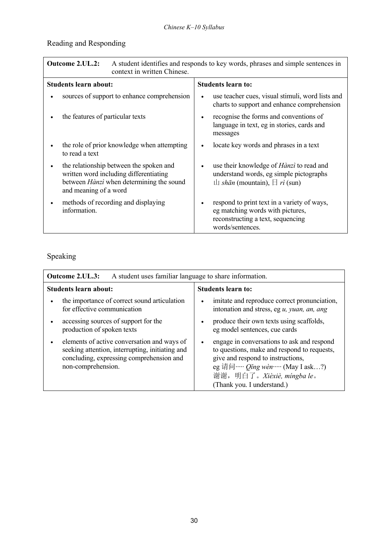# Reading and Responding

| <b>Outcome 2.UL.2:</b><br>A student identifies and responds to key words, phrases and simple sentences in<br>context in written Chinese.               |                                                                                                                                          |  |
|--------------------------------------------------------------------------------------------------------------------------------------------------------|------------------------------------------------------------------------------------------------------------------------------------------|--|
| <b>Students learn about:</b>                                                                                                                           | <b>Students learn to:</b>                                                                                                                |  |
| sources of support to enhance comprehension                                                                                                            | use teacher cues, visual stimuli, word lists and<br>$\bullet$<br>charts to support and enhance comprehension                             |  |
| the features of particular texts                                                                                                                       | recognise the forms and conventions of<br>language in text, eg in stories, cards and<br>messages                                         |  |
| the role of prior knowledge when attempting<br>to read a text                                                                                          | locate key words and phrases in a text                                                                                                   |  |
| the relationship between the spoken and<br>written word including differentiating<br>between Hànzì when determining the sound<br>and meaning of a word | use their knowledge of <i>Hànzì</i> to read and<br>understand words, eg simple pictographs<br>$\Box$ shān (mountain), $\Box$ rì (sun)    |  |
| methods of recording and displaying<br>information.                                                                                                    | respond to print text in a variety of ways,<br>eg matching words with pictures,<br>reconstructing a text, sequencing<br>words/sentences. |  |

# Speaking

| <b>Outcome 2.UL.3:</b><br>A student uses familiar language to share information.                                                                                 |                                                                                                                                                                                                                                            |  |
|------------------------------------------------------------------------------------------------------------------------------------------------------------------|--------------------------------------------------------------------------------------------------------------------------------------------------------------------------------------------------------------------------------------------|--|
| <b>Students learn about:</b>                                                                                                                                     | <b>Students learn to:</b>                                                                                                                                                                                                                  |  |
| the importance of correct sound articulation<br>$\bullet$<br>for effective communication                                                                         | imitate and reproduce correct pronunciation,<br>$\bullet$<br>intonation and stress, eg u, yuan, an, ang                                                                                                                                    |  |
| accessing sources of support for the<br>$\bullet$<br>production of spoken texts                                                                                  | produce their own texts using scaffolds,<br>$\bullet$<br>eg model sentences, cue cards                                                                                                                                                     |  |
| elements of active conversation and ways of<br>seeking attention, interrupting, initiating and<br>concluding, expressing comprehension and<br>non-comprehension. | engage in conversations to ask and respond<br>$\bullet$<br>to questions, make and respond to requests,<br>give and respond to instructions,<br>eg 请问… $Qing$ wèn… (May I ask?)<br>谢谢, 明白了。Xièxiè, míngba le。<br>(Thank you. I understand.) |  |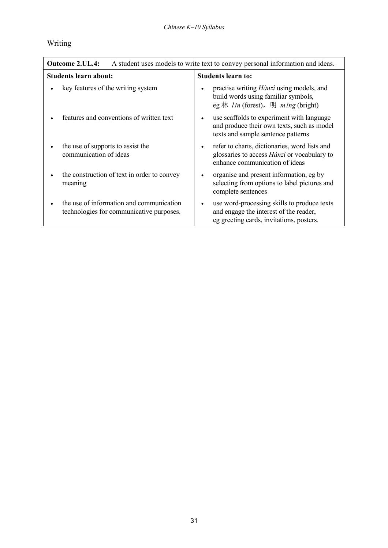# Writing

| <b>Outcome 2.UL.4:</b><br>A student uses models to write text to convey personal information and ideas. |                                                                                                                                                    |
|---------------------------------------------------------------------------------------------------------|----------------------------------------------------------------------------------------------------------------------------------------------------|
| Students learn about:                                                                                   | <b>Students learn to:</b>                                                                                                                          |
| key features of the writing system                                                                      | practise writing <i>Hànzi</i> using models, and<br>$\bullet$<br>build words using familiar symbols,<br>eg 林 lín (forest), 明 míng (bright)          |
| features and conventions of written text                                                                | use scaffolds to experiment with language<br>$\bullet$<br>and produce their own texts, such as model<br>texts and sample sentence patterns         |
| the use of supports to assist the<br>communication of ideas                                             | refer to charts, dictionaries, word lists and<br>$\bullet$<br>glossaries to access <i>Hànzì</i> or vocabulary to<br>enhance communication of ideas |
| the construction of text in order to convey<br>meaning                                                  | organise and present information, eg by<br>$\bullet$<br>selecting from options to label pictures and<br>complete sentences                         |
| the use of information and communication<br>technologies for communicative purposes.                    | use word-processing skills to produce texts<br>$\bullet$<br>and engage the interest of the reader,<br>eg greeting cards, invitations, posters.     |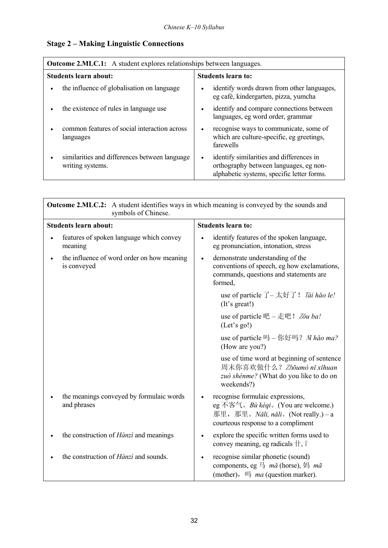$\overline{\mathsf{I}}$ 

## **Stage 2 – Making Linguistic Connections**

| <b>Outcome 2.MLC.1:</b> A student explores relationships between languages.    |                                                                                                                                               |  |
|--------------------------------------------------------------------------------|-----------------------------------------------------------------------------------------------------------------------------------------------|--|
| <b>Students learn about:</b>                                                   | <b>Students learn to:</b>                                                                                                                     |  |
| the influence of globalisation on language<br>$\bullet$                        | identify words drawn from other languages,<br>$\bullet$<br>eg café, kindergarten, pizza, yumcha                                               |  |
| the existence of rules in language use<br>$\bullet$                            | identify and compare connections between<br>$\bullet$<br>languages, eg word order, grammar                                                    |  |
| common features of social interaction across<br>٠<br>languages                 | recognise ways to communicate, some of<br>$\bullet$<br>which are culture-specific, eg greetings,<br>farewells                                 |  |
| similarities and differences between language<br>$\bullet$<br>writing systems. | identify similarities and differences in<br>$\bullet$<br>orthography between languages, eg non-<br>alphabetic systems, specific letter forms. |  |

| <b>Outcome 2.MLC.2:</b> A student identifies ways in which meaning is conveyed by the sounds and<br>symbols of Chinese. |                                                                                                                                                      |  |
|-------------------------------------------------------------------------------------------------------------------------|------------------------------------------------------------------------------------------------------------------------------------------------------|--|
| <b>Students learn about:</b>                                                                                            | <b>Students learn to:</b>                                                                                                                            |  |
| features of spoken language which convey<br>meaning                                                                     | identify features of the spoken language,<br>eg pronunciation, intonation, stress                                                                    |  |
| the influence of word order on how meaning<br>is conveyed                                                               | demonstrate understanding of the<br>$\bullet$<br>conventions of speech, eg how exclamations,<br>commands, questions and statements are<br>formed,    |  |
|                                                                                                                         | use of particle $\overline{f}$ – 太好了! <i>Tài hǎo le!</i><br>(It's great!)                                                                            |  |
|                                                                                                                         | use of particle 吧 – 走吧! Zou ba!<br>(Let's go!)                                                                                                       |  |
|                                                                                                                         | use of particle 吗 - 你好吗? N hao ma?<br>(How are you?)                                                                                                 |  |
|                                                                                                                         | use of time word at beginning of sentence<br>周末你喜欢做什么? Zhōumò nǐ xihuan<br>zuò shénme? (What do you like to do on<br>weekends?)                      |  |
| the meanings conveyed by formulaic words<br>and phrases                                                                 | recognise formulaic expressions,<br>eg 不客气。Bù kèqi。(You are welcome.)<br>那里, 那里。 Nǎli, nǎli。 (Not really.) – a<br>courteous response to a compliment |  |
| the construction of <i>Hànzì</i> and meanings                                                                           | explore the specific written forms used to<br>$\bullet$<br>convey meaning, eg radicals $\pm$ , $\hat{\gamma}$                                        |  |
| the construction of <i>Hànzì</i> and sounds.                                                                            | recognise similar phonetic (sound)<br>components, eg $\exists$ mã (horse), $\forall \exists$ mā<br>(mother), $\Box$ <i>ma</i> (question marker).     |  |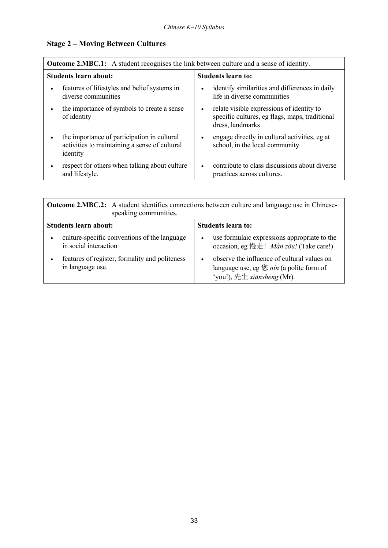## **Stage 2 - Moving Between Cultures**

| <b>Outcome 2.MBC.1:</b> A student recognises the link between culture and a sense of identity. |                                                                                                          |           |                                                                                                                 |
|------------------------------------------------------------------------------------------------|----------------------------------------------------------------------------------------------------------|-----------|-----------------------------------------------------------------------------------------------------------------|
|                                                                                                | Students learn about:                                                                                    |           | <b>Students learn to:</b>                                                                                       |
|                                                                                                | features of lifestyles and belief systems in<br>diverse communities                                      | $\bullet$ | identify similarities and differences in daily<br>life in diverse communities                                   |
|                                                                                                | the importance of symbols to create a sense<br>of identity                                               | ٠         | relate visible expressions of identity to<br>specific cultures, eg flags, maps, traditional<br>dress, landmarks |
|                                                                                                | the importance of participation in cultural<br>activities to maintaining a sense of cultural<br>identity | $\bullet$ | engage directly in cultural activities, eg at<br>school, in the local community                                 |
|                                                                                                | respect for others when talking about culture<br>and lifestyle.                                          | $\bullet$ | contribute to class discussions about diverse<br>practices across cultures.                                     |

| <b>Outcome 2.MBC.2:</b> A student identifies connections between culture and language use in Chinese-<br>speaking communities. |                                                                                                                                                 |
|--------------------------------------------------------------------------------------------------------------------------------|-------------------------------------------------------------------------------------------------------------------------------------------------|
| Students learn about:                                                                                                          | Students learn to:                                                                                                                              |
| culture-specific conventions of the language<br>in social interaction                                                          | use formulaic expressions appropriate to the<br>$\bullet$<br>occasion, eg 慢走! Màn zǒu! (Take care!)                                             |
| features of register, formality and politeness<br>in language use.                                                             | observe the influence of cultural values on<br>$\bullet$<br>language use, eg $\&$ nin (a polite form of<br>'you'), 先生 $x$ <i>iānsheng</i> (Mr). |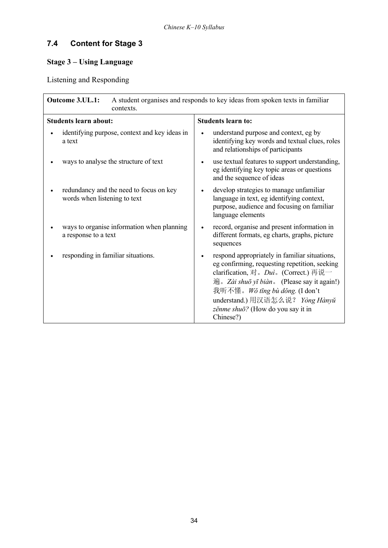# **7.4 Content for Stage 3**

## **Stage 3 - Using Language**

Listening and Responding

| Outcome 3.UL.1:<br>A student organises and responds to key ideas from spoken texts in familiar<br>contexts. |                                                                                                                                                                                                                                                                                                                                                         |  |
|-------------------------------------------------------------------------------------------------------------|---------------------------------------------------------------------------------------------------------------------------------------------------------------------------------------------------------------------------------------------------------------------------------------------------------------------------------------------------------|--|
| <b>Students learn about:</b>                                                                                | <b>Students learn to:</b>                                                                                                                                                                                                                                                                                                                               |  |
| identifying purpose, context and key ideas in<br>a text                                                     | understand purpose and context, eg by<br>identifying key words and textual clues, roles<br>and relationships of participants                                                                                                                                                                                                                            |  |
| ways to analyse the structure of text                                                                       | use textual features to support understanding,<br>$\bullet$<br>eg identifying key topic areas or questions<br>and the sequence of ideas                                                                                                                                                                                                                 |  |
| redundancy and the need to focus on key<br>words when listening to text                                     | develop strategies to manage unfamiliar<br>$\bullet$<br>language in text, eg identifying context,<br>purpose, audience and focusing on familiar<br>language elements                                                                                                                                                                                    |  |
| ways to organise information when planning<br>a response to a text                                          | record, organise and present information in<br>different formats, eg charts, graphs, picture<br>sequences                                                                                                                                                                                                                                               |  |
| responding in familiar situations.                                                                          | respond appropriately in familiar situations,<br>$\bullet$<br>eg confirming, requesting repetition, seeking<br>clarification, 对。Dui。(Correct.) 再说一<br>$\overline{\mathfrak{m}}$ <i>a Zài shuō yī biàn</i> (Please say it again!)<br>我听不懂。Wǒ tīng bù dǒng. (I don't<br>understand.) 用汉语怎么说? Yòng Hànyǔ<br>zěnme shuō? (How do you say it in<br>Chinese?) |  |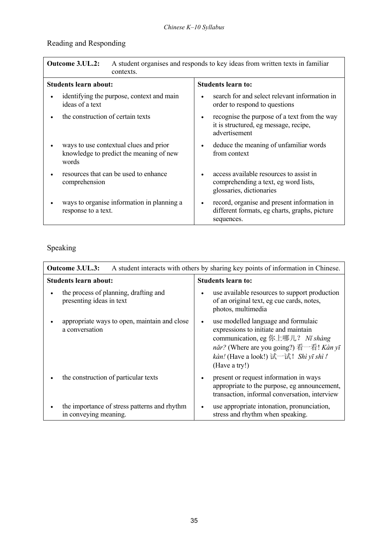# Reading and Responding

| <b>Outcome 3.UL.2:</b><br>A student organises and responds to key ideas from written texts in familiar<br>contexts. |                                                                                                                          |
|---------------------------------------------------------------------------------------------------------------------|--------------------------------------------------------------------------------------------------------------------------|
| Students learn about:                                                                                               | <b>Students learn to:</b>                                                                                                |
| identifying the purpose, context and main<br>ideas of a text                                                        | search for and select relevant information in<br>$\bullet$<br>order to respond to questions                              |
| the construction of certain texts                                                                                   | recognise the purpose of a text from the way<br>$\bullet$<br>it is structured, eg message, recipe,<br>advertisement      |
| ways to use contextual clues and prior<br>knowledge to predict the meaning of new<br>words                          | deduce the meaning of unfamiliar words<br>$\bullet$<br>from context                                                      |
| resources that can be used to enhance<br>comprehension                                                              | access available resources to assist in<br>$\bullet$<br>comprehending a text, eg word lists,<br>glossaries, dictionaries |
| ways to organise information in planning a<br>response to a text.                                                   | record, organise and present information in<br>$\bullet$<br>different formats, eg charts, graphs, picture<br>sequences.  |

# Speaking

| Outcome 3.UL.3:<br>A student interacts with others by sharing key points of information in Chinese. |                                                                                                                                                                                                                                   |
|-----------------------------------------------------------------------------------------------------|-----------------------------------------------------------------------------------------------------------------------------------------------------------------------------------------------------------------------------------|
| <b>Students learn about:</b>                                                                        | <b>Students learn to:</b>                                                                                                                                                                                                         |
| the process of planning, drafting and<br>$\bullet$<br>presenting ideas in text                      | use available resources to support production<br>$\bullet$<br>of an original text, eg cue cards, notes,<br>photos, multimedia                                                                                                     |
| appropriate ways to open, maintain and close<br>a conversation                                      | use modelled language and formulaic<br>$\bullet$<br>expressions to initiate and maintain<br>communication, eg 你上哪儿? Nǐ shàng<br>năr? (Where are you going?) 看一看! Kàn yī<br>kàn! (Have a look!) 试一试! Shì yī shì !<br>(Have a try!) |
| the construction of particular texts<br>$\bullet$                                                   | present or request information in ways<br>$\bullet$<br>appropriate to the purpose, eg announcement,<br>transaction, informal conversation, interview                                                                              |
| the importance of stress patterns and rhythm<br>$\bullet$<br>in conveying meaning.                  | use appropriate intonation, pronunciation,<br>$\bullet$<br>stress and rhythm when speaking.                                                                                                                                       |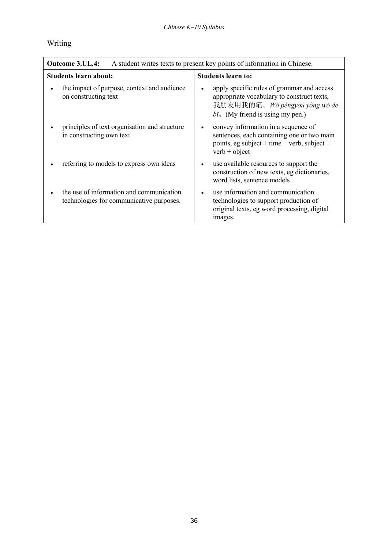# Writing

| <b>Outcome 3.UL.4:</b><br>A student writes texts to present key points of information in Chinese. |                                                                                                                                                                               |
|---------------------------------------------------------------------------------------------------|-------------------------------------------------------------------------------------------------------------------------------------------------------------------------------|
| Students learn about:                                                                             | <b>Students learn to:</b>                                                                                                                                                     |
| the impact of purpose, context and audience<br>on constructing text                               | apply specific rules of grammar and access<br>$\bullet$<br>appropriate vocabulary to construct texts,<br>我朋友用我的笔。Wǒ péngyou yòng wǒ de<br>$bi$ . (My friend is using my pen.) |
| principles of text organisation and structure<br>in constructing own text                         | convey information in a sequence of<br>$\bullet$<br>sentences, each containing one or two main<br>points, eg subject + time + verb, subject +<br>$verb + object$              |
| referring to models to express own ideas                                                          | use available resources to support the<br>$\bullet$<br>construction of new texts, eg dictionaries,<br>word lists, sentence models                                             |
| the use of information and communication<br>technologies for communicative purposes.              | use information and communication<br>$\bullet$<br>technologies to support production of<br>original texts, eg word processing, digital<br>images.                             |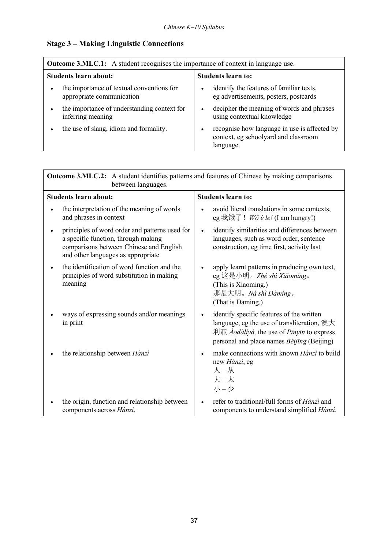# **Stage 3 - Making Linguistic Connections**

| <b>Outcome 3.MLC.1:</b> A student recognises the importance of context in language use. |                                                                                                   |
|-----------------------------------------------------------------------------------------|---------------------------------------------------------------------------------------------------|
| Students learn about:                                                                   | <b>Students learn to:</b>                                                                         |
| the importance of textual conventions for<br>appropriate communication                  | identify the features of familiar texts,<br>eg advertisements, posters, postcards                 |
| the importance of understanding context for<br>inferring meaning                        | decipher the meaning of words and phrases<br>using contextual knowledge                           |
| the use of slang, idiom and formality.                                                  | recognise how language in use is affected by<br>context, eg schoolyard and classroom<br>language. |

| <b>Outcome 3.MLC.2:</b> A student identifies patterns and features of Chinese by making comparisons<br>between languages.                                              |                                                                                                                                                                                                                                                           |
|------------------------------------------------------------------------------------------------------------------------------------------------------------------------|-----------------------------------------------------------------------------------------------------------------------------------------------------------------------------------------------------------------------------------------------------------|
| <b>Students learn about:</b>                                                                                                                                           | <b>Students learn to:</b>                                                                                                                                                                                                                                 |
| the interpretation of the meaning of words<br>and phrases in context                                                                                                   | avoid literal translations in some contexts,<br>$\bullet$<br>eg 我饿了! <i>Wǒ è le!</i> (I am hungry!)                                                                                                                                                       |
| principles of word order and patterns used for<br>a specific function, through making<br>comparisons between Chinese and English<br>and other languages as appropriate | identify similarities and differences between<br>$\bullet$<br>languages, such as word order, sentence<br>construction, eg time first, activity last                                                                                                       |
| the identification of word function and the<br>principles of word substitution in making<br>meaning                                                                    | apply learnt patterns in producing own text,<br>$\bullet$<br>eg 这是小明。Zhè shì Xiǎomíng。<br>(This is Xiaoming.)<br>那是大明。Nà shì Dàmíng。<br>(That is Daming.)                                                                                                 |
| ways of expressing sounds and/or meanings<br>in print                                                                                                                  | identify specific features of the written<br>$\bullet$<br>language, eg the use of transliteration, $\mathcal{H}\mathcal{H}$<br>$\sqrt[n]{\mathbb{I}}$ <i>Aodàliyà</i> , the use of <i>Pīnyīn</i> to express<br>personal and place names Běijīng (Beijing) |
| the relationship between Hànzì                                                                                                                                         | make connections with known Hànzì to build<br>$\bullet$<br>new Hànzì, eg<br>人 – 从<br>大-太<br>小-少                                                                                                                                                           |
| the origin, function and relationship between<br>components across Hànzì.                                                                                              | refer to traditional/full forms of Hànzì and<br>components to understand simplified Hànzì.                                                                                                                                                                |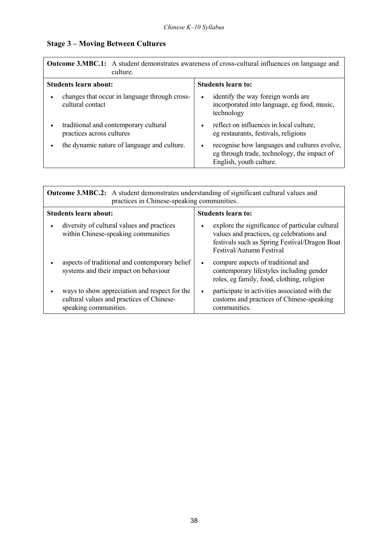# **Stage 3 - Moving Between Cultures**

| <b>Outcome 3.MBC.1:</b> A student demonstrates awareness of cross-cultural influences on language and<br>culture. |                                                                                                                             |
|-------------------------------------------------------------------------------------------------------------------|-----------------------------------------------------------------------------------------------------------------------------|
| Students learn about:                                                                                             | <b>Students learn to:</b>                                                                                                   |
| changes that occur in language through cross-<br>cultural contact                                                 | identify the way foreign words are<br>$\bullet$<br>incorporated into language, eg food, music,<br>technology                |
| traditional and contemporary cultural<br>practices across cultures                                                | reflect on influences in local culture,<br>$\bullet$<br>eg restaurants, festivals, religions                                |
| the dynamic nature of language and culture.                                                                       | recognise how languages and cultures evolve,<br>٠<br>eg through trade, technology, the impact of<br>English, youth culture. |

| <b>Outcome 3.MBC.2:</b> A student demonstrates understanding of significant cultural values and<br>practices in Chinese-speaking communities. |                                                                                                                                                                                |
|-----------------------------------------------------------------------------------------------------------------------------------------------|--------------------------------------------------------------------------------------------------------------------------------------------------------------------------------|
| <b>Students learn about:</b>                                                                                                                  | <b>Students learn to:</b>                                                                                                                                                      |
| diversity of cultural values and practices<br>within Chinese-speaking communities                                                             | explore the significance of particular cultural<br>٠<br>values and practices, eg celebrations and<br>festivals such as Spring Festival/Dragon Boat<br>Festival/Autumn Festival |
| aspects of traditional and contemporary belief<br>systems and their impact on behaviour                                                       | compare aspects of traditional and<br>$\bullet$<br>contemporary lifestyles including gender<br>roles, eg family, food, clothing, religion                                      |
| ways to show appreciation and respect for the<br>cultural values and practices of Chinese-<br>speaking communities.                           | participate in activities associated with the<br>$\bullet$<br>customs and practices of Chinese-speaking<br>communities.                                                        |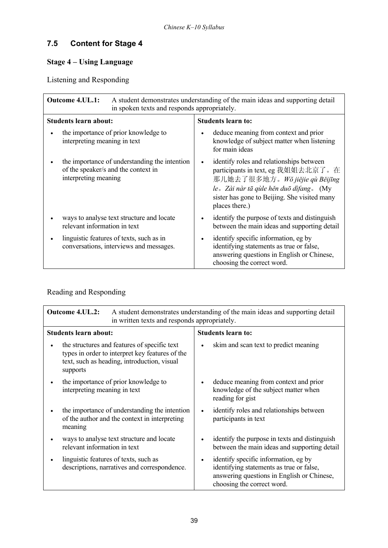# **7.5 Content for Stage 4**

# **Stage 4 – Using Language**

Listening and Responding

| <b>Outcome 4.UL.1:</b><br>A student demonstrates understanding of the main ideas and supporting detail<br>in spoken texts and responds appropriately. |                                                                                                                                                                                                                                            |
|-------------------------------------------------------------------------------------------------------------------------------------------------------|--------------------------------------------------------------------------------------------------------------------------------------------------------------------------------------------------------------------------------------------|
| <b>Students learn about:</b>                                                                                                                          | <b>Students learn to:</b>                                                                                                                                                                                                                  |
| the importance of prior knowledge to<br>interpreting meaning in text                                                                                  | deduce meaning from context and prior<br>$\bullet$<br>knowledge of subject matter when listening<br>for main ideas                                                                                                                         |
| the importance of understanding the intention<br>of the speaker/s and the context in<br>interpreting meaning                                          | identify roles and relationships between<br>$\bullet$<br>participants in text, eg 我姐姐去北京了。在<br>那儿她去了很多地方。Wǒ jiějie qù Běijīng<br>le. Zài nàr tā qùle hěn duō dìfang. (My<br>sister has gone to Beijing. She visited many<br>places there.) |
| ways to analyse text structure and locate<br>relevant information in text                                                                             | identify the purpose of texts and distinguish<br>٠<br>between the main ideas and supporting detail                                                                                                                                         |
| linguistic features of texts, such as in<br>conversations, interviews and messages.                                                                   | identify specific information, eg by<br>$\bullet$<br>identifying statements as true or false,<br>answering questions in English or Chinese,<br>choosing the correct word.                                                                  |

# Reading and Responding

| <b>Outcome 4.UL.2:</b><br>A student demonstrates understanding of the main ideas and supporting detail<br>in written texts and responds appropriately.     |                                                                                                                                                                           |
|------------------------------------------------------------------------------------------------------------------------------------------------------------|---------------------------------------------------------------------------------------------------------------------------------------------------------------------------|
| <b>Students learn about:</b>                                                                                                                               | <b>Students learn to:</b>                                                                                                                                                 |
| the structures and features of specific text<br>types in order to interpret key features of the<br>text, such as heading, introduction, visual<br>supports | skim and scan text to predict meaning                                                                                                                                     |
| the importance of prior knowledge to<br>interpreting meaning in text                                                                                       | deduce meaning from context and prior<br>٠<br>knowledge of the subject matter when<br>reading for gist                                                                    |
| the importance of understanding the intention<br>of the author and the context in interpreting<br>meaning                                                  | identify roles and relationships between<br>$\bullet$<br>participants in text                                                                                             |
| ways to analyse text structure and locate<br>relevant information in text                                                                                  | identify the purpose in texts and distinguish<br>٠<br>between the main ideas and supporting detail                                                                        |
| linguistic features of texts, such as<br>descriptions, narratives and correspondence.                                                                      | identify specific information, eg by<br>$\bullet$<br>identifying statements as true or false,<br>answering questions in English or Chinese,<br>choosing the correct word. |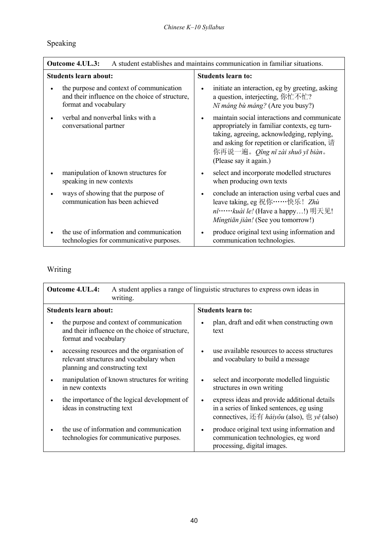# Speaking

| A student establishes and maintains communication in familiar situations.<br><b>Outcome 4.UL.3:</b>                  |                                                                                                                                                                                                                                                                   |
|----------------------------------------------------------------------------------------------------------------------|-------------------------------------------------------------------------------------------------------------------------------------------------------------------------------------------------------------------------------------------------------------------|
| <b>Students learn about:</b>                                                                                         | <b>Students learn to:</b>                                                                                                                                                                                                                                         |
| the purpose and context of communication<br>and their influence on the choice of structure,<br>format and vocabulary | initiate an interaction, eg by greeting, asking<br>a question, interjecting, 你忙不忙?<br>Ní máng bù máng? (Are you busy?)                                                                                                                                            |
| verbal and nonverbal links with a<br>conversational partner                                                          | maintain social interactions and communicate<br>appropriately in familiar contexts, eg turn-<br>taking, agreeing, acknowledging, replying,<br>and asking for repetition or clarification, 请<br>你再说一遍。 <i>Q</i> ǐng nǐ zài shuō yī biàn.<br>(Please say it again.) |
| manipulation of known structures for<br>speaking in new contexts                                                     | select and incorporate modelled structures<br>when producing own texts                                                                                                                                                                                            |
| ways of showing that the purpose of<br>communication has been achieved                                               | conclude an interaction using verbal cues and<br>leave taking, eg 祝你 …… 快乐! Zhù<br>$ni$ · · · · · · · kuài le! (Have a happy!) 明天见!<br>Mingtiān jiàn! (See you tomorrow!)                                                                                         |
| the use of information and communication<br>technologies for communicative purposes.                                 | produce original text using information and<br>communication technologies.                                                                                                                                                                                        |

# Writing

| <b>Outcome 4.UL.4:</b><br>A student applies a range of linguistic structures to express own ideas in<br>writing.         |                                                                                                                                                                                                                                |
|--------------------------------------------------------------------------------------------------------------------------|--------------------------------------------------------------------------------------------------------------------------------------------------------------------------------------------------------------------------------|
| <b>Students learn about:</b>                                                                                             | <b>Students learn to:</b>                                                                                                                                                                                                      |
| the purpose and context of communication<br>and their influence on the choice of structure,<br>format and vocabulary     | plan, draft and edit when constructing own<br>$\bullet$<br>text                                                                                                                                                                |
| accessing resources and the organisation of<br>relevant structures and vocabulary when<br>planning and constructing text | use available resources to access structures<br>$\bullet$<br>and vocabulary to build a message                                                                                                                                 |
| manipulation of known structures for writing<br>in new contexts                                                          | select and incorporate modelled linguistic<br>$\bullet$<br>structures in own writing                                                                                                                                           |
| the importance of the logical development of<br>ideas in constructing text                                               | express ideas and provide additional details<br>$\bullet$<br>in a series of linked sentences, eg using<br>connectives, $\overline{\mathcal{L}}$ $\overline{f}$ <i>háiyǒu</i> (also), $\overline{\mathcal{L}}$ <i>yě</i> (also) |
| the use of information and communication<br>technologies for communicative purposes.                                     | produce original text using information and<br>$\bullet$<br>communication technologies, eg word<br>processing, digital images.                                                                                                 |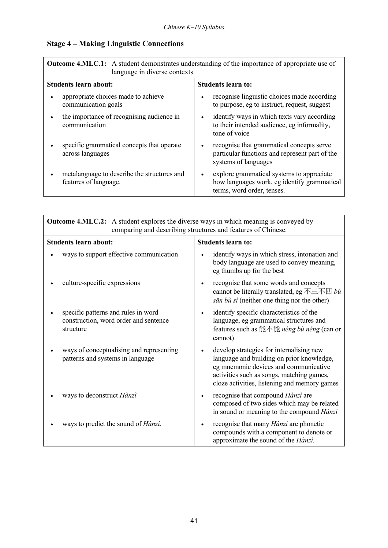# **Stage 4 – Making Linguistic Connections**

| <b>Outcome 4.MLC.1:</b> A student demonstrates understanding of the importance of appropriate use of<br>language in diverse contexts. |                                                                                                                             |
|---------------------------------------------------------------------------------------------------------------------------------------|-----------------------------------------------------------------------------------------------------------------------------|
| <b>Students learn about:</b>                                                                                                          | <b>Students learn to:</b>                                                                                                   |
| appropriate choices made to achieve<br>communication goals                                                                            | recognise linguistic choices made according<br>to purpose, eg to instruct, request, suggest                                 |
| the importance of recognising audience in<br>communication                                                                            | identify ways in which texts vary according<br>to their intended audience, eg informality,<br>tone of voice                 |
| specific grammatical concepts that operate<br>across languages                                                                        | recognise that grammatical concepts serve<br>particular functions and represent part of the<br>systems of languages         |
| metalanguage to describe the structures and<br>features of language.                                                                  | explore grammatical systems to appreciate<br>٠<br>how languages work, eg identify grammatical<br>terms, word order, tenses. |

| <b>Outcome 4.MLC.2:</b> A student explores the diverse ways in which meaning is conveyed by<br>comparing and describing structures and features of Chinese. |                                                                                                                                                                                                                             |
|-------------------------------------------------------------------------------------------------------------------------------------------------------------|-----------------------------------------------------------------------------------------------------------------------------------------------------------------------------------------------------------------------------|
| <b>Students learn about:</b>                                                                                                                                | <b>Students learn to:</b>                                                                                                                                                                                                   |
| ways to support effective communication                                                                                                                     | identify ways in which stress, intonation and<br>body language are used to convey meaning,<br>eg thumbs up for the best                                                                                                     |
| culture-specific expressions                                                                                                                                | recognise that some words and concepts<br>$\bullet$<br>cannot be literally translated, eg $\overline{\text{A}} \equiv \overline{\text{A}} \boxtimes b\hat{u}$<br>sān bù sì (neither one thing nor the other)                |
| specific patterns and rules in word<br>construction, word order and sentence<br>structure                                                                   | identify specific characteristics of the<br>$\bullet$<br>language, eg grammatical structures and<br>features such as 能不能 <i>néng bù néng</i> (can or<br>cannot)                                                             |
| ways of conceptualising and representing<br>patterns and systems in language                                                                                | develop strategies for internalising new<br>language and building on prior knowledge,<br>eg mnemonic devices and communicative<br>activities such as songs, matching games,<br>cloze activities, listening and memory games |
| ways to deconstruct Hànzì                                                                                                                                   | recognise that compound Hànzì are<br>$\bullet$<br>composed of two sides which may be related<br>in sound or meaning to the compound Hànzì                                                                                   |
| ways to predict the sound of <i>Hànzì</i> .                                                                                                                 | recognise that many Hànzì are phonetic<br>compounds with a component to denote or<br>approximate the sound of the Hànzi.                                                                                                    |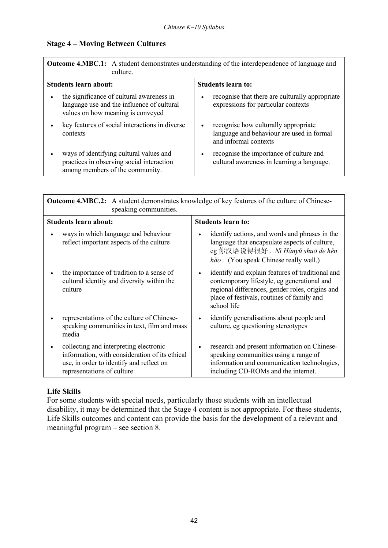### **Stage 4 – Moving Between Cultures**

| <b>Outcome 4.MBC.1:</b> A student demonstrates understanding of the interdependence of language and<br>culture.              |                                                                                                                         |
|------------------------------------------------------------------------------------------------------------------------------|-------------------------------------------------------------------------------------------------------------------------|
| <b>Students learn about:</b>                                                                                                 | <b>Students learn to:</b>                                                                                               |
| the significance of cultural awareness in<br>language use and the influence of cultural<br>values on how meaning is conveyed | recognise that there are culturally appropriate<br>٠<br>expressions for particular contexts                             |
| key features of social interactions in diverse<br>contexts                                                                   | recognise how culturally appropriate<br>$\bullet$<br>language and behaviour are used in formal<br>and informal contexts |
| ways of identifying cultural values and<br>practices in observing social interaction<br>among members of the community.      | recognise the importance of culture and<br>٠<br>cultural awareness in learning a language.                              |

| <b>Outcome 4.MBC.2:</b> A student demonstrates knowledge of key features of the culture of Chinese-<br>speaking communities.                                       |                                                                                                                                                                                                                 |
|--------------------------------------------------------------------------------------------------------------------------------------------------------------------|-----------------------------------------------------------------------------------------------------------------------------------------------------------------------------------------------------------------|
| <b>Students learn about:</b>                                                                                                                                       | <b>Students learn to:</b>                                                                                                                                                                                       |
| ways in which language and behaviour<br>reflect important aspects of the culture                                                                                   | identify actions, and words and phrases in the<br>language that encapsulate aspects of culture,<br>eg 你汉语说得很好。Nǐ Hànyǔ shuō de hěn<br>$h\check{a}o$ . (You speak Chinese really well.)                          |
| the importance of tradition to a sense of<br>cultural identity and diversity within the<br>culture                                                                 | identify and explain features of traditional and<br>contemporary lifestyle, eg generational and<br>regional differences, gender roles, origins and<br>place of festivals, routines of family and<br>school life |
| representations of the culture of Chinese-<br>speaking communities in text, film and mass<br>media                                                                 | identify generalisations about people and<br>culture, eg questioning stereotypes                                                                                                                                |
| collecting and interpreting electronic<br>information, with consideration of its ethical<br>use, in order to identify and reflect on<br>representations of culture | research and present information on Chinese-<br>speaking communities using a range of<br>information and communication technologies,<br>including CD-ROMs and the internet.                                     |

### **Life Skills**

For some students with special needs, particularly those students with an intellectual disability, it may be determined that the Stage 4 content is not appropriate. For these students, Life Skills outcomes and content can provide the basis for the development of a relevant and meaningful program  $-$  see section 8.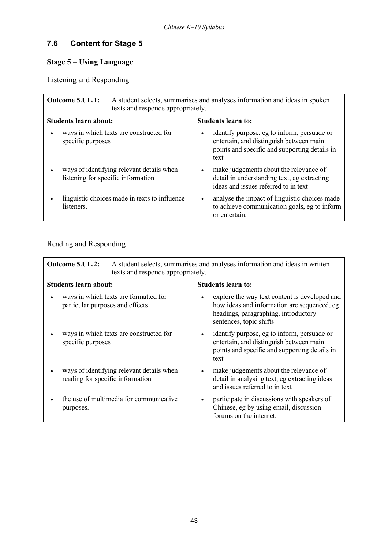# **7.6 Content for Stage 5**

# **Stage 5 - Using Language**

Listening and Responding

| A student selects, summarises and analyses information and ideas in spoken<br><b>Outcome 5.UL.1:</b><br>texts and responds appropriately. |                                                                                                                                                              |
|-------------------------------------------------------------------------------------------------------------------------------------------|--------------------------------------------------------------------------------------------------------------------------------------------------------------|
| <b>Students learn about:</b>                                                                                                              | <b>Students learn to:</b>                                                                                                                                    |
| ways in which texts are constructed for<br>specific purposes                                                                              | identify purpose, eg to inform, persuade or<br>$\bullet$<br>entertain, and distinguish between main<br>points and specific and supporting details in<br>text |
| ways of identifying relevant details when<br>listening for specific information                                                           | make judgements about the relevance of<br>$\bullet$<br>detail in understanding text, eg extracting<br>ideas and issues referred to in text                   |
| linguistic choices made in texts to influence<br>listeners.                                                                               | analyse the impact of linguistic choices made<br>٠<br>to achieve communication goals, eg to inform<br>or entertain.                                          |

# Reading and Responding

| <b>Outcome 5.UL.2:</b><br>A student selects, summarises and analyses information and ideas in written<br>texts and responds appropriately. |                                                                               |                                                                                                                                                                              |
|--------------------------------------------------------------------------------------------------------------------------------------------|-------------------------------------------------------------------------------|------------------------------------------------------------------------------------------------------------------------------------------------------------------------------|
|                                                                                                                                            | <b>Students learn about:</b>                                                  | <b>Students learn to:</b>                                                                                                                                                    |
|                                                                                                                                            | ways in which texts are formatted for<br>particular purposes and effects      | explore the way text content is developed and<br>$\bullet$<br>how ideas and information are sequenced, eg<br>headings, paragraphing, introductory<br>sentences, topic shifts |
|                                                                                                                                            | ways in which texts are constructed for<br>specific purposes                  | identify purpose, eg to inform, persuade or<br>٠<br>entertain, and distinguish between main<br>points and specific and supporting details in<br>text                         |
|                                                                                                                                            | ways of identifying relevant details when<br>reading for specific information | make judgements about the relevance of<br>$\bullet$<br>detail in analysing text, eg extracting ideas<br>and issues referred to in text                                       |
|                                                                                                                                            | the use of multimedia for communicative<br>purposes.                          | participate in discussions with speakers of<br>$\bullet$<br>Chinese, eg by using email, discussion<br>forums on the internet.                                                |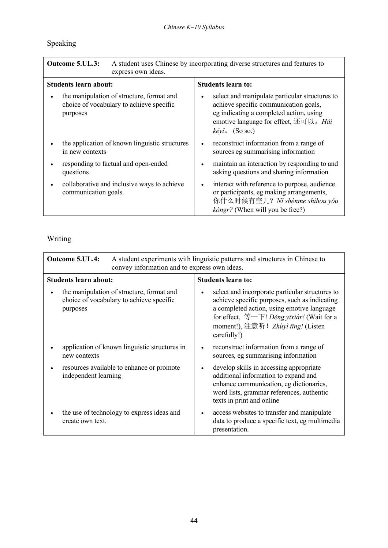# Speaking

| A student uses Chinese by incorporating diverse structures and features to<br>Outcome 5.UL.3:<br>express own ideas. |                                                                                                                                                                                                               |
|---------------------------------------------------------------------------------------------------------------------|---------------------------------------------------------------------------------------------------------------------------------------------------------------------------------------------------------------|
| <b>Students learn about:</b>                                                                                        | <b>Students learn to:</b>                                                                                                                                                                                     |
| the manipulation of structure, format and<br>choice of vocabulary to achieve specific<br>purposes                   | select and manipulate particular structures to<br>٠<br>achieve specific communication goals,<br>eg indicating a completed action, using<br>emotive language for effect, 还可以。Hái<br>$k \check{e}$ yĭ. (So so.) |
| the application of known linguistic structures<br>in new contexts                                                   | reconstruct information from a range of<br>$\bullet$<br>sources eg summarising information                                                                                                                    |
| responding to factual and open-ended<br>questions                                                                   | maintain an interaction by responding to and<br>$\bullet$<br>asking questions and sharing information                                                                                                         |
| collaborative and inclusive ways to achieve<br>communication goals.                                                 | interact with reference to purpose, audience<br>$\bullet$<br>or participants, eg making arrangements,<br>你什么时候有空儿? Ni shénme shíhou yǒu<br><i>kongr?</i> (When will you be free?)                             |

# Writing

| <b>Outcome 5.UL.4:</b><br>A student experiments with linguistic patterns and structures in Chinese to<br>convey information and to express own ideas. |                                                                                       |           |                                                                                                                                                                                                                                                                                              |
|-------------------------------------------------------------------------------------------------------------------------------------------------------|---------------------------------------------------------------------------------------|-----------|----------------------------------------------------------------------------------------------------------------------------------------------------------------------------------------------------------------------------------------------------------------------------------------------|
| <b>Students learn about:</b>                                                                                                                          |                                                                                       |           | <b>Students learn to:</b>                                                                                                                                                                                                                                                                    |
| purposes                                                                                                                                              | the manipulation of structure, format and<br>choice of vocabulary to achieve specific | $\bullet$ | select and incorporate particular structures to<br>achieve specific purposes, such as indicating<br>a completed action, using emotive language<br>for effect, $\mathcal{L}$ $\overline{\mathcal{F}}$ ! <i>Děng yīxiàr</i> ! (Wait for a<br>moment!), 注意听! Zhùyì tīng! (Listen<br>carefully!) |
| new contexts                                                                                                                                          | application of known linguistic structures in                                         | $\bullet$ | reconstruct information from a range of<br>sources, eg summarising information                                                                                                                                                                                                               |
| independent learning                                                                                                                                  | resources available to enhance or promote                                             | $\bullet$ | develop skills in accessing appropriate<br>additional information to expand and<br>enhance communication, eg dictionaries,<br>word lists, grammar references, authentic<br>texts in print and online                                                                                         |
| create own text.                                                                                                                                      | the use of technology to express ideas and                                            | $\bullet$ | access websites to transfer and manipulate<br>data to produce a specific text, eg multimedia<br>presentation.                                                                                                                                                                                |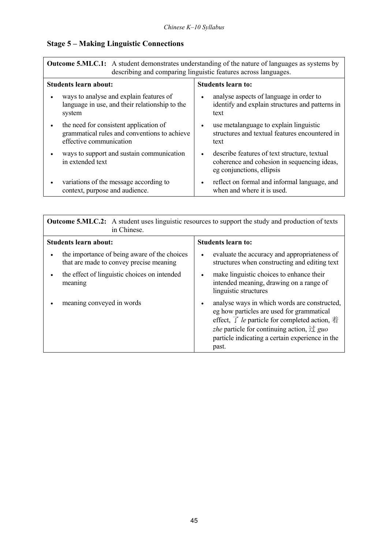# **Stage 5 - Making Linguistic Connections**

| <b>Outcome 5.MLC.1:</b> A student demonstrates understanding of the nature of languages as systems by<br>describing and comparing linguistic features across languages. |                                                                                                                                       |
|-------------------------------------------------------------------------------------------------------------------------------------------------------------------------|---------------------------------------------------------------------------------------------------------------------------------------|
| <b>Students learn about:</b>                                                                                                                                            | <b>Students learn to:</b>                                                                                                             |
| ways to analyse and explain features of<br>language in use, and their relationship to the<br>system                                                                     | analyse aspects of language in order to<br>$\bullet$<br>identify and explain structures and patterns in<br>text                       |
| the need for consistent application of<br>grammatical rules and conventions to achieve<br>effective communication                                                       | use metalanguage to explain linguistic<br>$\bullet$<br>structures and textual features encountered in<br>text                         |
| ways to support and sustain communication<br>in extended text                                                                                                           | describe features of text structure, textual<br>$\bullet$<br>coherence and cohesion in sequencing ideas,<br>eg conjunctions, ellipsis |
| variations of the message according to<br>context, purpose and audience.                                                                                                | reflect on formal and informal language, and<br>$\bullet$<br>when and where it is used.                                               |

| <b>Outcome 5.MLC.2:</b> A student uses linguistic resources to support the study and production of texts<br>in Chinese. |                                                                                                                                                                                                                                                                                                                                      |  |
|-------------------------------------------------------------------------------------------------------------------------|--------------------------------------------------------------------------------------------------------------------------------------------------------------------------------------------------------------------------------------------------------------------------------------------------------------------------------------|--|
| <b>Students learn about:</b>                                                                                            | <b>Students learn to:</b>                                                                                                                                                                                                                                                                                                            |  |
| the importance of being aware of the choices<br>that are made to convey precise meaning                                 | evaluate the accuracy and appropriateness of<br>$\bullet$<br>structures when constructing and editing text                                                                                                                                                                                                                           |  |
| the effect of linguistic choices on intended<br>meaning                                                                 | make linguistic choices to enhance their<br>$\bullet$<br>intended meaning, drawing on a range of<br>linguistic structures                                                                                                                                                                                                            |  |
| meaning conveyed in words                                                                                               | analyse ways in which words are constructed,<br>$\bullet$<br>eg how particles are used for grammatical<br>effect, $\overrightarrow{f}$ <i>le</i> particle for completed action, $\overrightarrow{f}$<br><i>zhe</i> particle for continuing action, $\forall \exists$ guo<br>particle indicating a certain experience in the<br>past. |  |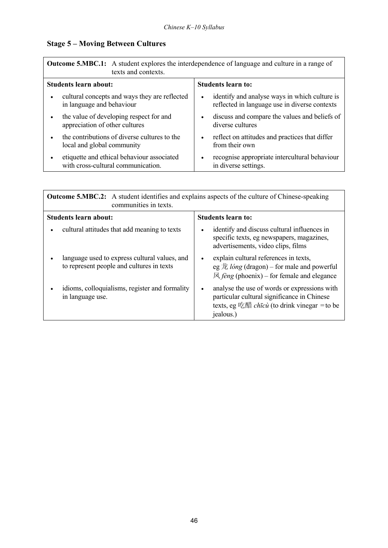# **Stage 5 – Moving Between Cultures**

| <b>Outcome 5.MBC.1:</b> A student explores the interdependence of language and culture in a range of<br>texts and contexts. |                                                                                                             |  |
|-----------------------------------------------------------------------------------------------------------------------------|-------------------------------------------------------------------------------------------------------------|--|
| Students learn about:                                                                                                       | <b>Students learn to:</b>                                                                                   |  |
| cultural concepts and ways they are reflected<br>in language and behaviour                                                  | identify and analyse ways in which culture is<br>$\bullet$<br>reflected in language use in diverse contexts |  |
| the value of developing respect for and<br>appreciation of other cultures                                                   | discuss and compare the values and beliefs of<br>$\bullet$<br>diverse cultures                              |  |
| the contributions of diverse cultures to the<br>local and global community                                                  | reflect on attitudes and practices that differ<br>$\bullet$<br>from their own                               |  |
| etiquette and ethical behaviour associated<br>with cross-cultural communication.                                            | recognise appropriate intercultural behaviour<br>$\bullet$<br>in diverse settings.                          |  |

| <b>Outcome 5.MBC.2:</b> A student identifies and explains aspects of the culture of Chinese-speaking<br>communities in texts. |                                                                                                                                                                                           |
|-------------------------------------------------------------------------------------------------------------------------------|-------------------------------------------------------------------------------------------------------------------------------------------------------------------------------------------|
| <b>Students learn about:</b>                                                                                                  | <b>Students learn to:</b>                                                                                                                                                                 |
| cultural attitudes that add meaning to texts                                                                                  | identify and discuss cultural influences in<br>$\bullet$<br>specific texts, eg newspapers, magazines,<br>advertisements, video clips, films                                               |
| language used to express cultural values, and<br>to represent people and cultures in texts                                    | explain cultural references in texts,<br>$\bullet$<br>eg $\dot{\mathcal{R}}$ <i>lóng</i> (dragon) – for male and powerful<br>$\mathbb{R}$ <i>fèng</i> (phoenix) – for female and elegance |
| idioms, colloquialisms, register and formality<br>in language use.                                                            | analyse the use of words or expressions with<br>$\bullet$<br>particular cultural significance in Chinese<br>texts, eg 吃醋 <i>chīcù</i> (to drink vinegar = to be<br>jealous.)              |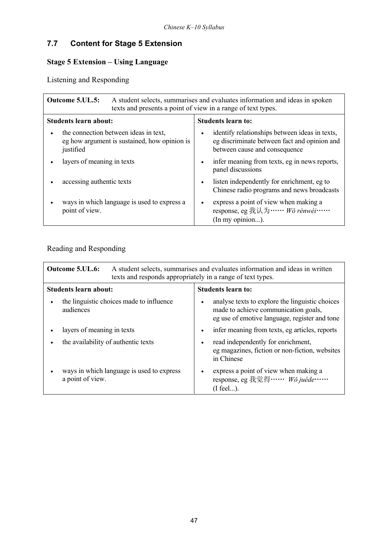# **7.7 Content for Stage 5 Extension**

# **Stage 5 Extension – Using Language**

Listening and Responding

| A student selects, summarises and evaluates information and ideas in spoken<br><b>Outcome 5.UL.5:</b><br>texts and presents a point of view in a range of text types. |                                                                                                                                              |
|-----------------------------------------------------------------------------------------------------------------------------------------------------------------------|----------------------------------------------------------------------------------------------------------------------------------------------|
| <b>Students learn about:</b>                                                                                                                                          | <b>Students learn to:</b>                                                                                                                    |
| the connection between ideas in text,<br>eg how argument is sustained, how opinion is<br>justified                                                                    | identify relationships between ideas in texts,<br>$\bullet$<br>eg discriminate between fact and opinion and<br>between cause and consequence |
| layers of meaning in texts                                                                                                                                            | infer meaning from texts, eg in news reports,<br>$\bullet$<br>panel discussions                                                              |
| accessing authentic texts                                                                                                                                             | listen independently for enrichment, eg to<br>$\bullet$<br>Chinese radio programs and news broadcasts                                        |
| ways in which language is used to express a<br>point of view.                                                                                                         | express a point of view when making a<br>$\bullet$<br>response, eg 我认为 …… Wǒ rènwéi ……<br>(In my opinion).                                   |

# Reading and Responding

| <b>Outcome 5.UL.6:</b><br>A student selects, summarises and evaluates information and ideas in written<br>texts and responds appropriately in a range of text types. |                                                                                                                                                       |
|----------------------------------------------------------------------------------------------------------------------------------------------------------------------|-------------------------------------------------------------------------------------------------------------------------------------------------------|
| <b>Students learn about:</b>                                                                                                                                         | <b>Students learn to:</b>                                                                                                                             |
| the linguistic choices made to influence<br>audiences                                                                                                                | analyse texts to explore the linguistic choices<br>$\bullet$<br>made to achieve communication goals,<br>eg use of emotive language, register and tone |
| layers of meaning in texts                                                                                                                                           | infer meaning from texts, eg articles, reports<br>$\bullet$                                                                                           |
| the availability of authentic texts                                                                                                                                  | read independently for enrichment,<br>$\bullet$<br>eg magazines, fiction or non-fiction, websites<br>in Chinese                                       |
| ways in which language is used to express<br>a point of view.                                                                                                        | express a point of view when making a<br>$\bullet$<br>response, eg 我觉得 …… Wǒ juéde……<br>$(I$ feel).                                                   |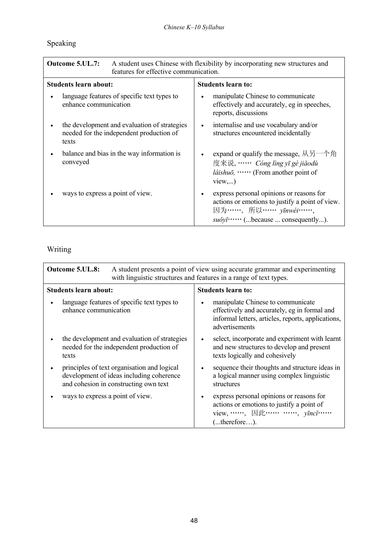# Speaking

| Outcome 5.UL.7:<br>A student uses Chinese with flexibility by incorporating new structures and<br>features for effective communication. |                                                                                                                                                                                                                                     |
|-----------------------------------------------------------------------------------------------------------------------------------------|-------------------------------------------------------------------------------------------------------------------------------------------------------------------------------------------------------------------------------------|
| <b>Students learn about:</b>                                                                                                            | <b>Students learn to:</b>                                                                                                                                                                                                           |
| language features of specific text types to<br>enhance communication                                                                    | manipulate Chinese to communicate<br>$\bullet$<br>effectively and accurately, eg in speeches,<br>reports, discussions                                                                                                               |
| the development and evaluation of strategies<br>needed for the independent production of<br>texts                                       | internalise and use vocabulary and/or<br>$\bullet$<br>structures encountered incidentally                                                                                                                                           |
| balance and bias in the way information is<br>conveyed                                                                                  | expand or qualify the message, $\mathcal{N} \overline{\mathcal{B}}$ $\rightarrow$ $\mathcal{A} \overline{\mathcal{B}}$<br>$\bullet$<br>度来说, …… Cóng lìng yī gè jiǎodù<br><i>láishuō</i> , $\cdots$ (From another point of<br>view,) |
| ways to express a point of view.                                                                                                        | express personal opinions or reasons for<br>actions or emotions to justify a point of view.<br>因为 ……, 所以 …… yīnwéi……,<br>suǒyǐ…… (because  consequently).                                                                           |

# Writing

| <b>Outcome 5.UL.8:</b><br>A student presents a point of view using accurate grammar and experimenting<br>with linguistic structures and features in a range of text types. |                                                                                                                                                                        |  |
|----------------------------------------------------------------------------------------------------------------------------------------------------------------------------|------------------------------------------------------------------------------------------------------------------------------------------------------------------------|--|
| <b>Students learn about:</b>                                                                                                                                               | <b>Students learn to:</b>                                                                                                                                              |  |
| language features of specific text types to<br>enhance communication                                                                                                       | manipulate Chinese to communicate<br>$\bullet$<br>effectively and accurately, eg in formal and<br>informal letters, articles, reports, applications,<br>advertisements |  |
| the development and evaluation of strategies<br>needed for the independent production of<br>texts                                                                          | select, incorporate and experiment with learnt<br>$\bullet$<br>and new structures to develop and present<br>texts logically and cohesively                             |  |
| principles of text organisation and logical<br>development of ideas including coherence<br>and cohesion in constructing own text                                           | sequence their thoughts and structure ideas in<br>$\bullet$<br>a logical manner using complex linguistic<br>structures                                                 |  |
| ways to express a point of view.                                                                                                                                           | express personal opinions or reasons for<br>$\bullet$<br>actions or emotions to justify a point of<br>view, ……, 因此 …… ……, <i>yīncǐ</i> ……<br>(therefore).              |  |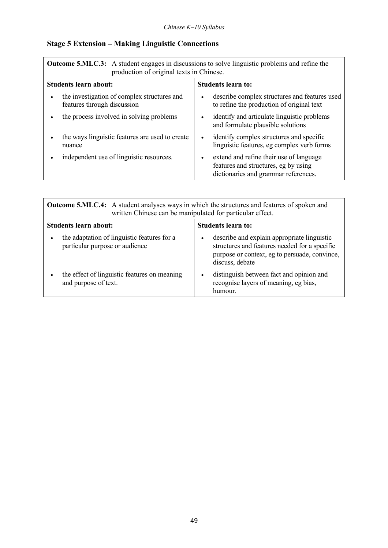# **Stage 5 Extension – Making Linguistic Connections**

| <b>Outcome 5.MLC.3:</b> A student engages in discussions to solve linguistic problems and refine the<br>production of original texts in Chinese. |                                                                                                                         |  |
|--------------------------------------------------------------------------------------------------------------------------------------------------|-------------------------------------------------------------------------------------------------------------------------|--|
| Students learn about:                                                                                                                            | <b>Students learn to:</b>                                                                                               |  |
| the investigation of complex structures and<br>features through discussion                                                                       | describe complex structures and features used<br>to refine the production of original text                              |  |
| the process involved in solving problems                                                                                                         | identify and articulate linguistic problems<br>and formulate plausible solutions                                        |  |
| the ways linguistic features are used to create<br>nuance                                                                                        | identify complex structures and specific<br>$\bullet$<br>linguistic features, eg complex verb forms                     |  |
| independent use of linguistic resources.                                                                                                         | extend and refine their use of language<br>features and structures, eg by using<br>dictionaries and grammar references. |  |

| <b>Outcome 5.MLC.4:</b> A student analyses ways in which the structures and features of spoken and<br>written Chinese can be manipulated for particular effect. |                                                                                                                                                                               |  |
|-----------------------------------------------------------------------------------------------------------------------------------------------------------------|-------------------------------------------------------------------------------------------------------------------------------------------------------------------------------|--|
| Students learn about:                                                                                                                                           | <b>Students learn to:</b>                                                                                                                                                     |  |
| the adaptation of linguistic features for a<br>٠<br>particular purpose or audience                                                                              | describe and explain appropriate linguistic<br>$\bullet$<br>structures and features needed for a specific<br>purpose or context, eg to persuade, convince,<br>discuss, debate |  |
| the effect of linguistic features on meaning<br>and purpose of text.                                                                                            | distinguish between fact and opinion and<br>$\bullet$<br>recognise layers of meaning, eg bias,<br>humour.                                                                     |  |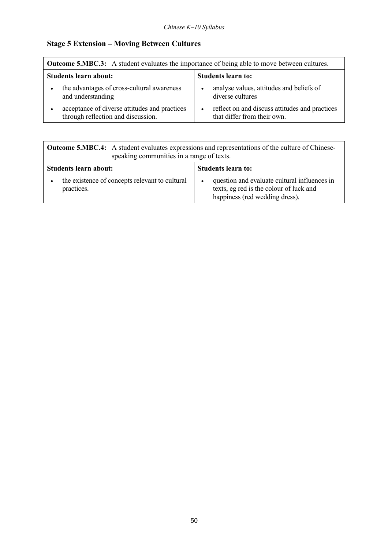# **Stage 5 Extension – Moving Between Cultures**

| <b>Outcome 5.MBC.3:</b> A student evaluates the importance of being able to move between cultures. |                           |                                                                               |
|----------------------------------------------------------------------------------------------------|---------------------------|-------------------------------------------------------------------------------|
| Students learn about:                                                                              | <b>Students learn to:</b> |                                                                               |
| the advantages of cross-cultural awareness<br>and understanding                                    |                           | analyse values, attitudes and beliefs of<br>diverse cultures                  |
| acceptance of diverse attitudes and practices<br>through reflection and discussion.                | $\bullet$                 | reflect on and discuss attitudes and practices<br>that differ from their own. |

| <b>Outcome 5.MBC.4:</b> A student evaluates expressions and representations of the culture of Chinese-<br>speaking communities in a range of texts. |                                                                                                                                        |
|-----------------------------------------------------------------------------------------------------------------------------------------------------|----------------------------------------------------------------------------------------------------------------------------------------|
| <b>Students learn about:</b>                                                                                                                        | <b>Students learn to:</b>                                                                                                              |
| the existence of concepts relevant to cultural<br>practices.                                                                                        | question and evaluate cultural influences in<br>$\bullet$<br>texts, eg red is the colour of luck and<br>happiness (red wedding dress). |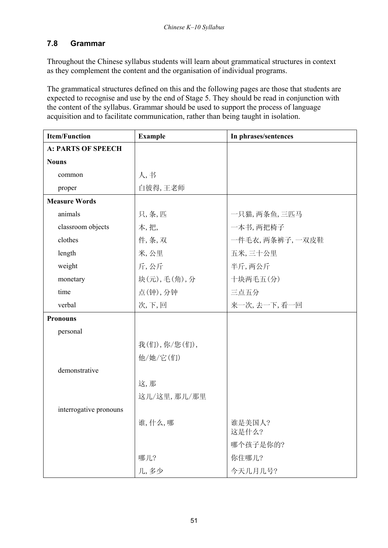### **7.8 Grammar**

Throughout the Chinese syllabus students will learn about grammatical structures in context as they complement the content and the organisation of individual programs.

The grammatical structures defined on this and the following pages are those that students are expected to recognise and use by the end of Stage 5. They should be read in conjunction with the content of the syllabus. Grammar should be used to support the process of language acquisition and to facilitate communication, rather than being taught in isolation.

| <b>Item/Function</b>      | <b>Example</b> | In phrases/sentences |
|---------------------------|----------------|----------------------|
| <b>A: PARTS OF SPEECH</b> |                |                      |
| <b>Nouns</b>              |                |                      |
| common                    | 人,书            |                      |
| proper                    | 白彼得,王老师        |                      |
| <b>Measure Words</b>      |                |                      |
| animals                   | 只,条,匹          | 一只猫,两条鱼,三匹马          |
| classroom objects         | 本,把,           | 一本书, 两把椅子            |
| clothes                   | 件,条,双          | 一件毛衣, 两条裤子, 一双皮鞋     |
| length                    | 米,公里           | 五米,三十公里              |
| weight                    | 斤,公斤           | 半斤,两公斤               |
| monetary                  | 块(元),毛(角),分    | 十块两毛五(分)             |
| time                      | 点(钟),分钟        | 三点五分                 |
| verbal                    | 次,下,回          | 来一次,去一下,看一回          |
| <b>Pronouns</b>           |                |                      |
| personal                  |                |                      |
|                           | 我(们), 你/您(们),  |                      |
|                           | 他/她/它(们)       |                      |
| demonstrative             |                |                      |
|                           | 这,那            |                      |
|                           | 这儿/这里,那儿/那里    |                      |
| interrogative pronouns    |                |                      |
|                           | 谁,什么,哪         | 谁是美国人?<br>这是什么?      |
|                           |                | 哪个孩子是你的?             |
|                           | 哪儿?            | 你住哪儿?                |
|                           | 几,多少           | 今天几月几号?              |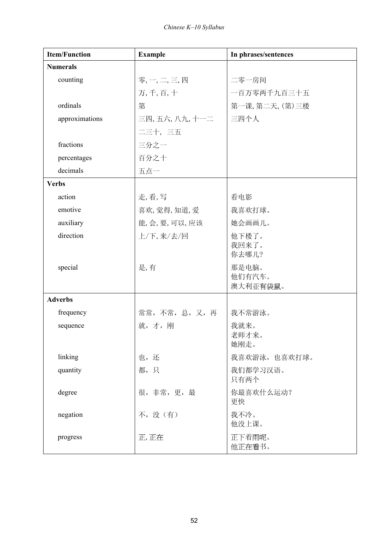| <b>Item/Function</b> | <b>Example</b> | In phrases/sentences |
|----------------------|----------------|----------------------|
| <b>Numerals</b>      |                |                      |
| counting             | 零,一,二,三,四      | 二零一房间                |
|                      | 万, 千, 百, 十     | 一百万零两千九百三十五          |
| ordinals             | 第              | 第一课,第二天,(第)三楼        |
| approximations       | 三四,五六,八九,十一二   | 三四个人                 |
|                      | 二三十,三五         |                      |
| fractions            | 三分之一           |                      |
| percentages          | 百分之十           |                      |
| decimals             | 五点一            |                      |
| <b>Verbs</b>         |                |                      |
| action               | 走,看,写          | 看电影                  |
| emotive              | 喜欢,觉得,知道,爱     | 我喜欢打球。               |
| auxiliary            | 能,会,要,可以,应该    | 她会画画儿。               |
| direction            | 上/下,来/去/回      | 他下楼了。                |
|                      |                | 我回来了。<br>你去哪儿?       |
| special              | 是,有            | 那是电脑。                |
|                      |                | 他们有汽车。               |
|                      |                | 澳大利亚有袋鼠。             |
| <b>Adverbs</b>       |                |                      |
| frequency            | 常常,不常,总,又,再    | 我不常游泳。               |
| sequence             | 就,才,刚          | 我就来。<br>老师才来。        |
|                      |                | 她刚走。                 |
| linking              | 也,还            | 我喜欢游泳,也喜欢打球。         |
| quantity             | 都,只            | 我们都学习汉语。             |
|                      |                | 只有两个                 |
| degree               | 很, 非常, 更, 最    | 你最喜欢什么运动?<br>更快      |
| negation             | 不,没(有)         | 我不冷。<br>他没上课。        |
| progress             | 正,正在           | 正下着雨呢。<br>他正在看书。     |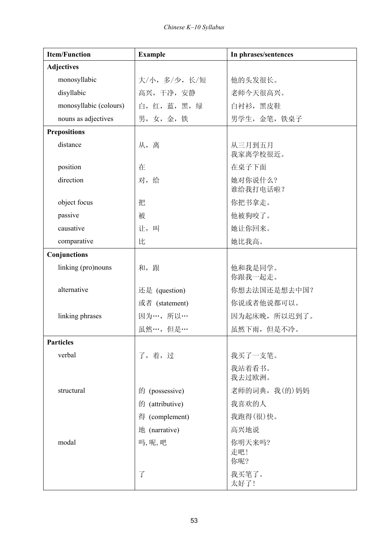| <b>Item/Function</b>   | <b>Example</b>  | In phrases/sentences |
|------------------------|-----------------|----------------------|
| <b>Adjectives</b>      |                 |                      |
| monosyllabic           | 大/小,多/少,长/短     | 他的头发很长。              |
| disyllabic             | 高兴, 干净, 安静      | 老师今天很高兴。             |
| monosyllabic (colours) | 白,红,蓝,黑,绿       | 白衬衫,黑皮鞋              |
| nouns as adjectives    | 男,女,金,铁         | 男学生, 金笔, 铁桌子         |
| <b>Prepositions</b>    |                 |                      |
| distance               | 从,离             | 从三月到五月<br>我家离学校很近。   |
| position               | 在               | 在桌子下面                |
| direction              | 对,给             | 她对你说什么?<br>谁给我打电话啦?  |
| object focus           | 把               | 你把书拿走。               |
| passive                | 被               | 他被狗咬了。               |
| causative              | 让,叫             | 她让你回来。               |
| comparative            | 比               | 她比我高。                |
| Conjunctions           |                 |                      |
| linking (pro)nouns     | 和, 跟            | 他和我是同学。<br>你跟我一起走。   |
| alternative            | 还是 (question)   | 你想去法国还是想去中国?         |
|                        | 或者 (statement)  | 你说或者他说都可以。           |
| linking phrases        | 因为…,所以…         | 因为起床晚, 所以迟到了。        |
|                        | 虽然…,但是…         | 虽然下雨,但是不冷。           |
| <b>Particles</b>       |                 |                      |
| verbal                 | 了,着,过           | 我买了一支笔。              |
|                        |                 | 我站着看书。<br>我去过欧洲。     |
| structural             | 的 (possessive)  | 老师的词典,我(的)妈妈         |
|                        | 的 (attributive) | 我喜欢的人                |
|                        | 得 (complement)  | 我跑得(很)快。             |
|                        | 地 (narrative)   | 高兴地说                 |
| modal                  | 吗,呢,吧           | 你明天来吗?<br>走吧!<br>你呢? |
|                        | $\overline{J}$  | 我买笔了。<br>太好了!        |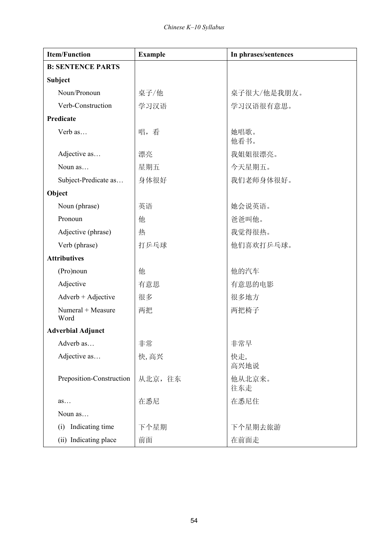| <b>Item/Function</b>        | <b>Example</b> | In phrases/sentences |
|-----------------------------|----------------|----------------------|
| <b>B: SENTENCE PARTS</b>    |                |                      |
| Subject                     |                |                      |
| Noun/Pronoun                | 桌子/他           | 桌子很大/他是我朋友。          |
| Verb-Construction           | 学习汉语           | 学习汉语很有意思。            |
| Predicate                   |                |                      |
| Verb as                     | 唱,看            | 她唱歌。<br>他看书。         |
| Adjective as                | 漂亮             | 我姐姐很漂亮。              |
| Noun as                     | 星期五            | 今天星期五。               |
| Subject-Predicate as        | 身体很好           | 我们老师身体很好。            |
| Object                      |                |                      |
| Noun (phrase)               | 英语             | 她会说英语。               |
| Pronoun                     | 他              | 爸爸叫他。                |
| Adjective (phrase)          | 热              | 我觉得很热。               |
| Verb (phrase)               | 打乒乓球           | 他们喜欢打乒乓球。            |
| <b>Attributives</b>         |                |                      |
| (Pro)noun                   | 他              | 他的汽车                 |
| Adjective                   | 有意思            | 有意思的电影               |
| $Adverb + Adjective$        | 很多             | 很多地方                 |
| $Numeral + Measure$<br>Word | 两把             | 两把椅子                 |
| <b>Adverbial Adjunct</b>    |                |                      |
| Adverb as                   | 非常             | 非常早                  |
| Adjective as                | 快,高兴           | 快走,<br>高兴地说          |
| Preposition-Construction    | 从北京, 往东        | 他从北京来。<br>往东走        |
| as                          | 在悉尼            | 在悉尼住                 |
| Noun as                     |                |                      |
| Indicating time<br>(i)      | 下个星期           | 下个星期去旅游              |
| (ii) Indicating place       | 前面             | 在前面走                 |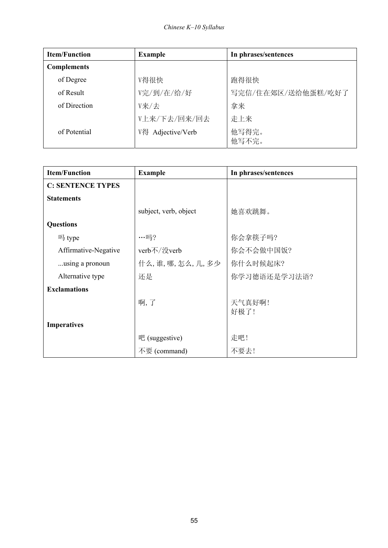| <b>Item/Function</b> | <b>Example</b>    | In phrases/sentences |
|----------------------|-------------------|----------------------|
| <b>Complements</b>   |                   |                      |
| of Degree            | V得很快              | 跑得很快                 |
| of Result            | V完/到/在/给/好        | 写完信/住在郊区/送给他蛋糕/吃好了   |
| of Direction         | V来/去              | 拿来                   |
|                      | V上来/下去/回来/回去      | 走上来                  |
| of Potential         | V得 Adjective/Verb | 他写得完。<br>他写不完。       |

| <b>Item/Function</b>     | <b>Example</b>        | In phrases/sentences |
|--------------------------|-----------------------|----------------------|
| <b>C: SENTENCE TYPES</b> |                       |                      |
| <b>Statements</b>        |                       |                      |
|                          | subject, verb, object | 她喜欢跳舞。               |
| <b>Questions</b>         |                       |                      |
| 吗 type                   | $\cdots \Box$ ?       | 你会拿筷子吗?              |
| Affirmative-Negative     | verb不/没verb           | 你会不会做中国饭?            |
| using a pronoun          | 什么,谁,哪,怎么,几,多少        | 你什么时候起床?             |
| Alternative type         | 还是                    | 你学习德语还是学习法语?         |
| <b>Exclamations</b>      |                       |                      |
|                          | 啊,了                   | 天气真好啊!<br>好极了!       |
| <b>Imperatives</b>       |                       |                      |
|                          | 吧 (suggestive)        | 走吧!                  |
|                          | 不要 (command)          | 不要去!                 |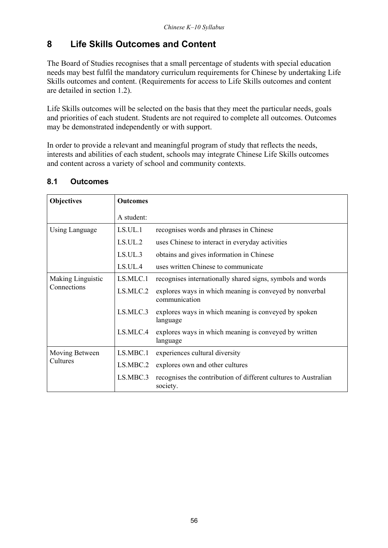# **8 Life Skills Outcomes and Content**

The Board of Studies recognises that a small percentage of students with special education needs may best fulfil the mandatory curriculum requirements for Chinese by undertaking Life Skills outcomes and content. (Requirements for access to Life Skills outcomes and content are detailed in section 1.2).

Life Skills outcomes will be selected on the basis that they meet the particular needs, goals and priorities of each student. Students are not required to complete all outcomes. Outcomes may be demonstrated independently or with support.

In order to provide a relevant and meaningful program of study that reflects the needs, interests and abilities of each student, schools may integrate Chinese Life Skills outcomes and content across a variety of school and community contexts.

| <b>Objectives</b> | <b>Outcomes</b> |                                                                             |
|-------------------|-----------------|-----------------------------------------------------------------------------|
|                   | A student:      |                                                                             |
| Using Language    | LS.UL.1         | recognises words and phrases in Chinese                                     |
|                   | LS.UL.2         | uses Chinese to interact in everyday activities                             |
|                   | LS.UL.3         | obtains and gives information in Chinese                                    |
|                   | LS.UL.4         | uses written Chinese to communicate                                         |
| Making Linguistic | LS.MLC.1        | recognises internationally shared signs, symbols and words                  |
| Connections       | LS.MLC.2        | explores ways in which meaning is conveyed by nonverbal<br>communication    |
|                   | LS.MLC.3        | explores ways in which meaning is conveyed by spoken<br>language            |
|                   | LS.MLC.4        | explores ways in which meaning is conveyed by written<br>language           |
| Moving Between    | LS.MBC.1        | experiences cultural diversity                                              |
| Cultures          | LS.MBC.2        | explores own and other cultures                                             |
|                   | LS.MBC.3        | recognises the contribution of different cultures to Australian<br>society. |

### **8.1 Outcomes**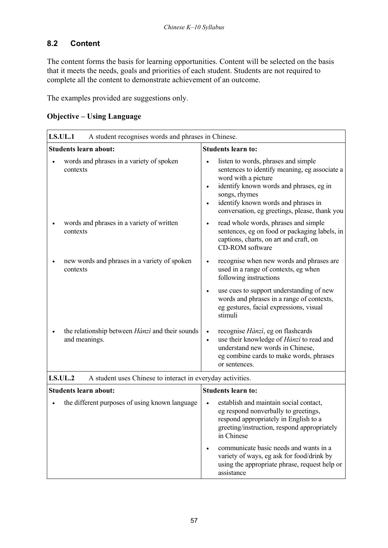### **8.2 Content**

The content forms the basis for learning opportunities. Content will be selected on the basis that it meets the needs, goals and priorities of each student. Students are not required to complete all the content to demonstrate achievement of an outcome.

The examples provided are suggestions only.

| <b>Objective – Using Language</b> |  |
|-----------------------------------|--|
|                                   |  |

| <b>LS.UL.1</b><br>A student recognises words and phrases in Chinese.         |                                                                                                                                                                                                                                                                                                        |
|------------------------------------------------------------------------------|--------------------------------------------------------------------------------------------------------------------------------------------------------------------------------------------------------------------------------------------------------------------------------------------------------|
| <b>Students learn about:</b>                                                 | <b>Students learn to:</b>                                                                                                                                                                                                                                                                              |
| words and phrases in a variety of spoken<br>contexts                         | listen to words, phrases and simple<br>$\bullet$<br>sentences to identify meaning, eg associate a<br>word with a picture<br>identify known words and phrases, eg in<br>$\bullet$<br>songs, rhymes<br>identify known words and phrases in<br>$\bullet$<br>conversation, eg greetings, please, thank you |
| words and phrases in a variety of written<br>contexts                        | read whole words, phrases and simple<br>$\bullet$<br>sentences, eg on food or packaging labels, in<br>captions, charts, on art and craft, on<br><b>CD-ROM</b> software                                                                                                                                 |
| new words and phrases in a variety of spoken<br>contexts                     | recognise when new words and phrases are<br>used in a range of contexts, eg when<br>following instructions                                                                                                                                                                                             |
|                                                                              | use cues to support understanding of new<br>$\bullet$<br>words and phrases in a range of contexts,<br>eg gestures, facial expressions, visual<br>stimuli                                                                                                                                               |
| the relationship between <i>Hànzì</i> and their sounds<br>and meanings.      | recognise Hànzì, eg on flashcards<br>$\bullet$<br>use their knowledge of Hànzì to read and<br>$\bullet$<br>understand new words in Chinese,<br>eg combine cards to make words, phrases<br>or sentences.                                                                                                |
| <b>LS.UL.2</b><br>A student uses Chinese to interact in everyday activities. |                                                                                                                                                                                                                                                                                                        |
| <b>Students learn about:</b>                                                 | <b>Students learn to:</b>                                                                                                                                                                                                                                                                              |
| the different purposes of using known language                               | establish and maintain social contact,<br>eg respond nonverbally to greetings,<br>respond appropriately in English to a<br>greeting/instruction, respond appropriately<br>in Chinese                                                                                                                   |
|                                                                              | communicate basic needs and wants in a<br>$\bullet$<br>variety of ways, eg ask for food/drink by<br>using the appropriate phrase, request help or<br>assistance                                                                                                                                        |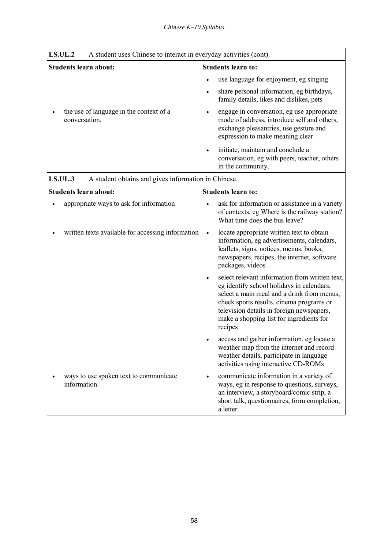| <b>LS.UL.2</b><br>A student uses Chinese to interact in everyday activities (cont) |                                                                                                                                                                                                                                                                                           |
|------------------------------------------------------------------------------------|-------------------------------------------------------------------------------------------------------------------------------------------------------------------------------------------------------------------------------------------------------------------------------------------|
| <b>Students learn about:</b>                                                       | <b>Students learn to:</b>                                                                                                                                                                                                                                                                 |
|                                                                                    | use language for enjoyment, eg singing                                                                                                                                                                                                                                                    |
|                                                                                    | share personal information, eg birthdays,<br>$\bullet$<br>family details, likes and dislikes, pets                                                                                                                                                                                        |
| the use of language in the context of a<br>conversation.                           | engage in conversation, eg use appropriate<br>$\bullet$<br>mode of address, introduce self and others,<br>exchange pleasantries, use gesture and<br>expression to make meaning clear                                                                                                      |
|                                                                                    | initiate, maintain and conclude a<br>$\bullet$<br>conversation, eg with peers, teacher, others<br>in the community.                                                                                                                                                                       |
| LS.UL.3<br>A student obtains and gives information in Chinese.                     |                                                                                                                                                                                                                                                                                           |
| <b>Students learn about:</b>                                                       | <b>Students learn to:</b>                                                                                                                                                                                                                                                                 |
| appropriate ways to ask for information                                            | ask for information or assistance in a variety<br>of contexts, eg Where is the railway station?<br>What time does the bus leave?                                                                                                                                                          |
| written texts available for accessing information                                  | locate appropriate written text to obtain<br>$\bullet$<br>information, eg advertisements, calendars,<br>leaflets, signs, notices, menus, books,<br>newspapers, recipes, the internet, software<br>packages, videos                                                                        |
|                                                                                    | select relevant information from written text,<br>eg identify school holidays in calendars,<br>select a main meal and a drink from menus,<br>check sports results, cinema programs or<br>television details in foreign newspapers,<br>make a shopping list for ingredients for<br>recipes |
|                                                                                    | access and gather information, eg locate a<br>weather map from the internet and record<br>weather details, participate in language<br>activities using interactive CD-ROMs                                                                                                                |
| ways to use spoken text to communicate<br>information.                             | communicate information in a variety of<br>$\bullet$<br>ways, eg in response to questions, surveys,<br>an interview, a storyboard/comic strip, a<br>short talk, questionnaires, form completion,<br>a letter.                                                                             |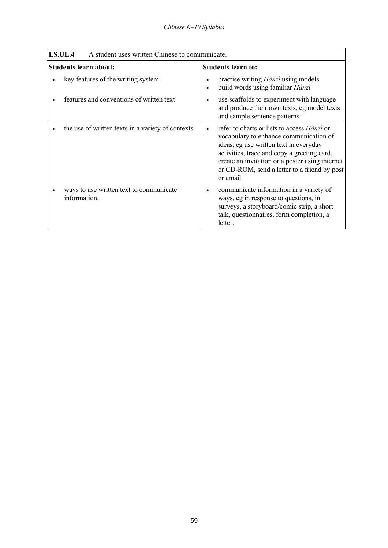| LS.UL.4<br>A student uses written Chinese to communicate. |                                                                                                                                                                                                                                                                                                      |
|-----------------------------------------------------------|------------------------------------------------------------------------------------------------------------------------------------------------------------------------------------------------------------------------------------------------------------------------------------------------------|
| <b>Students learn about:</b>                              | <b>Students learn to:</b>                                                                                                                                                                                                                                                                            |
| key features of the writing system                        | practise writing <i>Hànzì</i> using models<br>build words using familiar Hànzì<br>$\bullet$                                                                                                                                                                                                          |
| features and conventions of written text                  | use scaffolds to experiment with language<br>and produce their own texts, eg model texts<br>and sample sentence patterns                                                                                                                                                                             |
| the use of written texts in a variety of contexts         | refer to charts or lists to access <i>Hànzì</i> or<br>vocabulary to enhance communication of<br>ideas, eg use written text in everyday<br>activities, trace and copy a greeting card,<br>create an invitation or a poster using internet<br>or CD-ROM, send a letter to a friend by post<br>or email |
| ways to use written text to communicate<br>information.   | communicate information in a variety of<br>ways, eg in response to questions, in<br>surveys, a storyboard/comic strip, a short<br>talk, questionnaires, form completion, a<br>letter.                                                                                                                |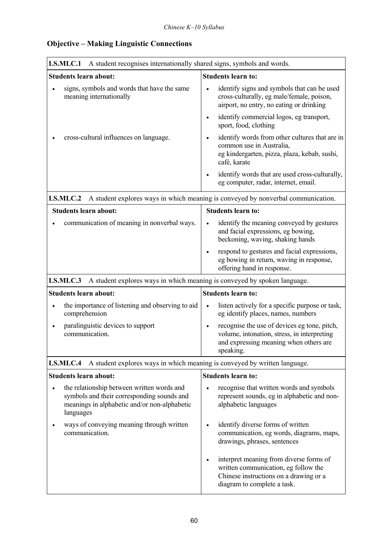| LS.MLC.1<br>A student recognises internationally shared signs, symbols and words.                                                                                  |                                                                                                                                                                       |
|--------------------------------------------------------------------------------------------------------------------------------------------------------------------|-----------------------------------------------------------------------------------------------------------------------------------------------------------------------|
| <b>Students learn about:</b>                                                                                                                                       | <b>Students learn to:</b>                                                                                                                                             |
| signs, symbols and words that have the same<br>$\bullet$<br>meaning internationally                                                                                | identify signs and symbols that can be used<br>$\bullet$<br>cross-culturally, eg male/female, poison,<br>airport, no entry, no eating or drinking                     |
|                                                                                                                                                                    | identify commercial logos, eg transport,<br>$\bullet$<br>sport, food, clothing                                                                                        |
| cross-cultural influences on language.                                                                                                                             | identify words from other cultures that are in<br>$\bullet$<br>common use in Australia,<br>eg kindergarten, pizza, plaza, kebab, sushi,<br>café, karate               |
|                                                                                                                                                                    | identify words that are used cross-culturally,<br>$\bullet$<br>eg computer, radar, internet, email.                                                                   |
| LS.MLC.2                                                                                                                                                           | A student explores ways in which meaning is conveyed by nonverbal communication.                                                                                      |
| <b>Students learn about:</b>                                                                                                                                       | <b>Students learn to:</b>                                                                                                                                             |
| communication of meaning in nonverbal ways.                                                                                                                        | identify the meaning conveyed by gestures<br>and facial expressions, eg bowing,<br>beckoning, waving, shaking hands                                                   |
|                                                                                                                                                                    | respond to gestures and facial expressions,<br>$\bullet$<br>eg bowing in return, waving in response,<br>offering hand in response.                                    |
| LS.MLC.3<br>A student explores ways in which meaning is conveyed by spoken language.                                                                               |                                                                                                                                                                       |
| <b>Students learn about:</b>                                                                                                                                       | <b>Students learn to:</b>                                                                                                                                             |
| the importance of listening and observing to aid<br>$\bullet$<br>comprehension                                                                                     | listen actively for a specific purpose or task,<br>$\bullet$<br>eg identify places, names, numbers                                                                    |
| paralinguistic devices to support<br>$\bullet$<br>communication.                                                                                                   | recognise the use of devices eg tone, pitch,<br>$\bullet$<br>volume, intonation, stress, in interpreting<br>and expressing meaning when others are<br>speaking.       |
| A student explores ways in which meaning is conveyed by written language.<br>LS.MLC.4                                                                              |                                                                                                                                                                       |
| <b>Students learn about:</b>                                                                                                                                       | <b>Students learn to:</b>                                                                                                                                             |
| the relationship between written words and<br>$\bullet$<br>symbols and their corresponding sounds and<br>meanings in alphabetic and/or non-alphabetic<br>languages | recognise that written words and symbols<br>$\bullet$<br>represent sounds, eg in alphabetic and non-<br>alphabetic languages                                          |
| ways of conveying meaning through written<br>communication.                                                                                                        | identify diverse forms of written<br>$\bullet$<br>communication, eg words, diagrams, maps,<br>drawings, phrases, sentences                                            |
|                                                                                                                                                                    | interpret meaning from diverse forms of<br>$\bullet$<br>written communication, eg follow the<br>Chinese instructions on a drawing or a<br>diagram to complete a task. |

# **Objective – Making Linguistic Connections**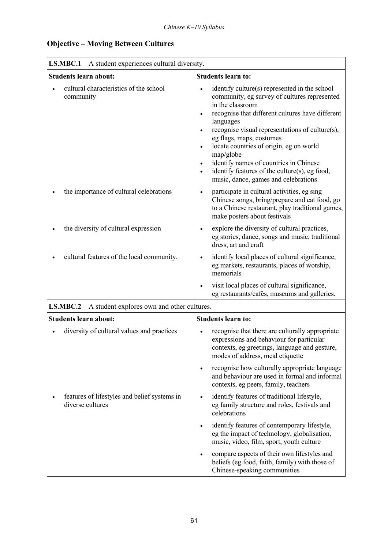| <b>Objective – Moving Between Cultures</b> |  |
|--------------------------------------------|--|
|--------------------------------------------|--|

| LS.MBC.1<br>A student experiences cultural diversity.            |                                                                                                                                                                                                                                                                                                                                                                                                                                                                                                     |
|------------------------------------------------------------------|-----------------------------------------------------------------------------------------------------------------------------------------------------------------------------------------------------------------------------------------------------------------------------------------------------------------------------------------------------------------------------------------------------------------------------------------------------------------------------------------------------|
| <b>Students learn about:</b>                                     | <b>Students learn to:</b>                                                                                                                                                                                                                                                                                                                                                                                                                                                                           |
| cultural characteristics of the school<br>community              | identify culture(s) represented in the school<br>community, eg survey of cultures represented<br>in the classroom<br>recognise that different cultures have different<br>languages<br>recognise visual representations of culture(s),<br>eg flags, maps, costumes<br>locate countries of origin, eg on world<br>$\bullet$<br>map/globe<br>identify names of countries in Chinese<br>$\bullet$<br>identify features of the culture(s), eg food,<br>$\bullet$<br>music, dance, games and celebrations |
| the importance of cultural celebrations                          | participate in cultural activities, eg sing<br>$\bullet$<br>Chinese songs, bring/prepare and eat food, go<br>to a Chinese restaurant, play traditional games,<br>make posters about festivals                                                                                                                                                                                                                                                                                                       |
| the diversity of cultural expression                             | explore the diversity of cultural practices,<br>eg stories, dance, songs and music, traditional<br>dress, art and craft                                                                                                                                                                                                                                                                                                                                                                             |
| cultural features of the local community.                        | identify local places of cultural significance,<br>$\bullet$<br>eg markets, restaurants, places of worship,<br>memorials                                                                                                                                                                                                                                                                                                                                                                            |
|                                                                  | visit local places of cultural significance,<br>eg restaurants/cafés, museums and galleries.                                                                                                                                                                                                                                                                                                                                                                                                        |
| LS.MBC.2<br>A student explores own and other cultures.           |                                                                                                                                                                                                                                                                                                                                                                                                                                                                                                     |
| <b>Students learn about:</b>                                     | <b>Students learn to:</b>                                                                                                                                                                                                                                                                                                                                                                                                                                                                           |
| diversity of cultural values and practices                       | recognise that there are culturally appropriate<br>expressions and behaviour for particular<br>contexts, eg greetings, language and gesture,<br>modes of address, meal etiquette                                                                                                                                                                                                                                                                                                                    |
|                                                                  | recognise how culturally appropriate language<br>$\bullet$<br>and behaviour are used in formal and informal<br>contexts, eg peers, family, teachers                                                                                                                                                                                                                                                                                                                                                 |
| features of lifestyles and belief systems in<br>diverse cultures | identify features of traditional lifestyle,<br>$\bullet$<br>eg family structure and roles, festivals and<br>celebrations                                                                                                                                                                                                                                                                                                                                                                            |
|                                                                  | identify features of contemporary lifestyle,<br>eg the impact of technology, globalisation,<br>music, video, film, sport, youth culture                                                                                                                                                                                                                                                                                                                                                             |
|                                                                  | compare aspects of their own lifestyles and<br>beliefs (eg food, faith, family) with those of<br>Chinese-speaking communities                                                                                                                                                                                                                                                                                                                                                                       |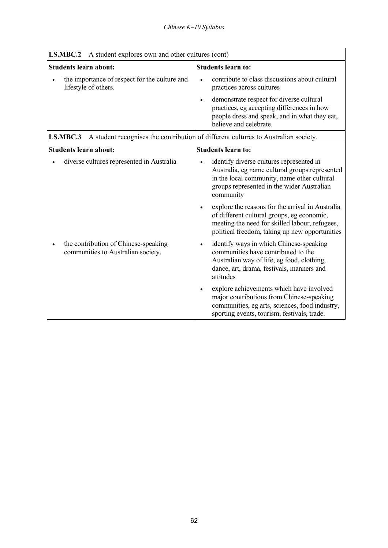| A student explores own and other cultures (cont)<br>LS.MBC.2                                   |                                                                                                                                                                                                                 |
|------------------------------------------------------------------------------------------------|-----------------------------------------------------------------------------------------------------------------------------------------------------------------------------------------------------------------|
| <b>Students learn about:</b>                                                                   | <b>Students learn to:</b>                                                                                                                                                                                       |
| the importance of respect for the culture and<br>lifestyle of others.                          | contribute to class discussions about cultural<br>$\bullet$<br>practices across cultures                                                                                                                        |
|                                                                                                | demonstrate respect for diverse cultural<br>$\bullet$<br>practices, eg accepting differences in how<br>people dress and speak, and in what they eat,<br>believe and celebrate.                                  |
| LS.MBC.3<br>A student recognises the contribution of different cultures to Australian society. |                                                                                                                                                                                                                 |
| <b>Students learn about:</b>                                                                   | <b>Students learn to:</b>                                                                                                                                                                                       |
| diverse cultures represented in Australia                                                      | identify diverse cultures represented in<br>Australia, eg name cultural groups represented<br>in the local community, name other cultural<br>groups represented in the wider Australian<br>community            |
|                                                                                                | explore the reasons for the arrival in Australia<br>$\bullet$<br>of different cultural groups, eg economic,<br>meeting the need for skilled labour, refugees,<br>political freedom, taking up new opportunities |
| the contribution of Chinese-speaking<br>communities to Australian society.                     | identify ways in which Chinese-speaking<br>$\bullet$<br>communities have contributed to the<br>Australian way of life, eg food, clothing,<br>dance, art, drama, festivals, manners and<br>attitudes             |
|                                                                                                | explore achievements which have involved<br>$\bullet$<br>major contributions from Chinese-speaking<br>communities, eg arts, sciences, food industry,<br>sporting events, tourism, festivals, trade.             |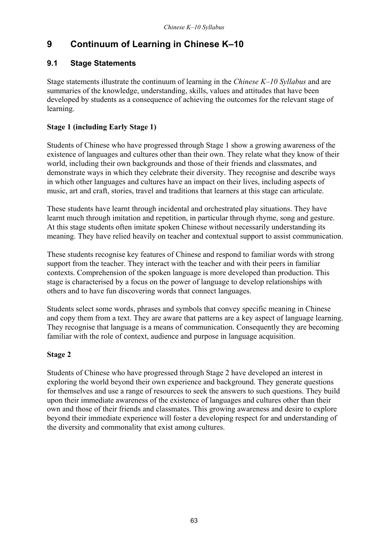# **9** Continuum of Learning in Chinese K-10

### **9.1 Stage Statements**

Stage statements illustrate the continuum of learning in the *Chinese K*–10 Syllabus and are summaries of the knowledge, understanding, skills, values and attitudes that have been developed by students as a consequence of achieving the outcomes for the relevant stage of learning.

### **Stage 1 (including Early Stage 1)**

Students of Chinese who have progressed through Stage 1 show a growing awareness of the existence of languages and cultures other than their own. They relate what they know of their world, including their own backgrounds and those of their friends and classmates, and demonstrate ways in which they celebrate their diversity. They recognise and describe ways in which other languages and cultures have an impact on their lives, including aspects of music, art and craft, stories, travel and traditions that learners at this stage can articulate.

These students have learnt through incidental and orchestrated play situations. They have learnt much through imitation and repetition, in particular through rhyme, song and gesture. At this stage students often imitate spoken Chinese without necessarily understanding its meaning. They have relied heavily on teacher and contextual support to assist communication.

These students recognise key features of Chinese and respond to familiar words with strong support from the teacher. They interact with the teacher and with their peers in familiar contexts. Comprehension of the spoken language is more developed than production. This stage is characterised by a focus on the power of language to develop relationships with others and to have fun discovering words that connect languages.

Students select some words, phrases and symbols that convey specific meaning in Chinese and copy them from a text. They are aware that patterns are a key aspect of language learning. They recognise that language is a means of communication. Consequently they are becoming familiar with the role of context, audience and purpose in language acquisition.

### **Stage 2**

Students of Chinese who have progressed through Stage 2 have developed an interest in exploring the world beyond their own experience and background. They generate questions for themselves and use a range of resources to seek the answers to such questions. They build upon their immediate awareness of the existence of languages and cultures other than their own and those of their friends and classmates. This growing awareness and desire to explore beyond their immediate experience will foster a developing respect for and understanding of the diversity and commonality that exist among cultures.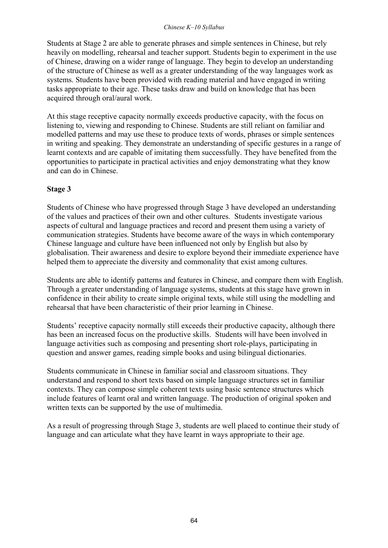#### *Chinese K-10 Syllabus*

Students at Stage 2 are able to generate phrases and simple sentences in Chinese, but rely heavily on modelling, rehearsal and teacher support. Students begin to experiment in the use of Chinese, drawing on a wider range of language. They begin to develop an understanding of the structure of Chinese as well as a greater understanding of the way languages work as systems. Students have been provided with reading material and have engaged in writing tasks appropriate to their age. These tasks draw and build on knowledge that has been acquired through oral/aural work.

At this stage receptive capacity normally exceeds productive capacity, with the focus on listening to, viewing and responding to Chinese. Students are still reliant on familiar and modelled patterns and may use these to produce texts of words, phrases or simple sentences in writing and speaking. They demonstrate an understanding of specific gestures in a range of learnt contexts and are capable of imitating them successfully. They have benefited from the opportunities to participate in practical activities and enjoy demonstrating what they know and can do in Chinese.

### **Stage 3**

Students of Chinese who have progressed through Stage 3 have developed an understanding of the values and practices of their own and other cultures. Students investigate various aspects of cultural and language practices and record and present them using a variety of communication strategies. Students have become aware of the ways in which contemporary Chinese language and culture have been influenced not only by English but also by globalisation. Their awareness and desire to explore beyond their immediate experience have helped them to appreciate the diversity and commonality that exist among cultures.

Students are able to identify patterns and features in Chinese, and compare them with English. Through a greater understanding of language systems, students at this stage have grown in confidence in their ability to create simple original texts, while still using the modelling and rehearsal that have been characteristic of their prior learning in Chinese.

Students' receptive capacity normally still exceeds their productive capacity, although there has been an increased focus on the productive skills. Students will have been involved in language activities such as composing and presenting short role-plays, participating in question and answer games, reading simple books and using bilingual dictionaries.

Students communicate in Chinese in familiar social and classroom situations. They understand and respond to short texts based on simple language structures set in familiar contexts. They can compose simple coherent texts using basic sentence structures which include features of learnt oral and written language. The production of original spoken and written texts can be supported by the use of multimedia.

As a result of progressing through Stage 3, students are well placed to continue their study of language and can articulate what they have learnt in ways appropriate to their age.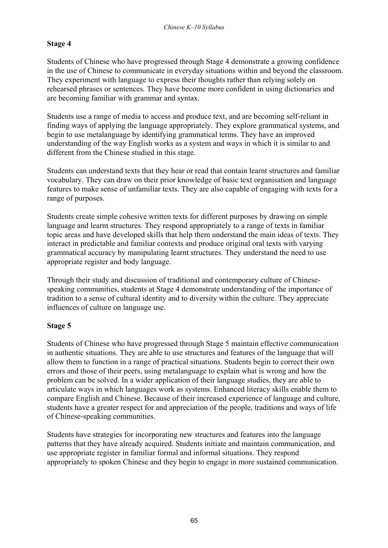### **Stage 4**

Students of Chinese who have progressed through Stage 4 demonstrate a growing confidence in the use of Chinese to communicate in everyday situations within and beyond the classroom. They experiment with language to express their thoughts rather than relying solely on rehearsed phrases or sentences. They have become more confident in using dictionaries and are becoming familiar with grammar and syntax.

Students use a range of media to access and produce text, and are becoming self-reliant in finding ways of applying the language appropriately. They explore grammatical systems, and begin to use metalanguage by identifying grammatical terms. They have an improved understanding of the way English works as a system and ways in which it is similar to and different from the Chinese studied in this stage.

Students can understand texts that they hear or read that contain learnt structures and familiar vocabulary. They can draw on their prior knowledge of basic text organisation and language features to make sense of unfamiliar texts. They are also capable of engaging with texts for a range of purposes.

Students create simple cohesive written texts for different purposes by drawing on simple language and learnt structures. They respond appropriately to a range of texts in familiar topic areas and have developed skills that help them understand the main ideas of texts. They interact in predictable and familiar contexts and produce original oral texts with varying grammatical accuracy by manipulating learnt structures. They understand the need to use appropriate register and body language.

Through their study and discussion of traditional and contemporary culture of Chinesespeaking communities, students at Stage 4 demonstrate understanding of the importance of tradition to a sense of cultural identity and to diversity within the culture. They appreciate influences of culture on language use.

### **Stage 5**

Students of Chinese who have progressed through Stage 5 maintain effective communication in authentic situations. They are able to use structures and features of the language that will allow them to function in a range of practical situations. Students begin to correct their own errors and those of their peers, using metalanguage to explain what is wrong and how the problem can be solved. In a wider application of their language studies, they are able to articulate ways in which languages work as systems. Enhanced literacy skills enable them to compare English and Chinese. Because of their increased experience of language and culture, students have a greater respect for and appreciation of the people, traditions and ways of life of Chinese-speaking communities.

Students have strategies for incorporating new structures and features into the language patterns that they have already acquired. Students initiate and maintain communication, and use appropriate register in familiar formal and informal situations. They respond appropriately to spoken Chinese and they begin to engage in more sustained communication.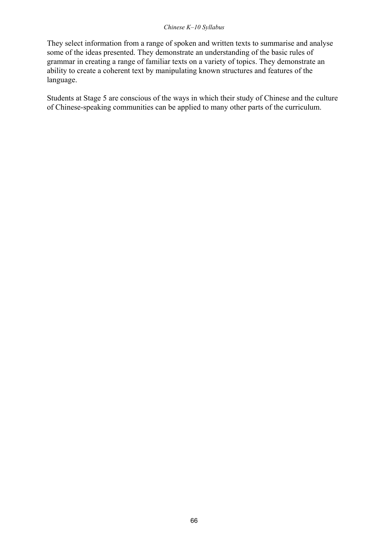#### *Chinese K-10 Syllabus*

They select information from a range of spoken and written texts to summarise and analyse some of the ideas presented. They demonstrate an understanding of the basic rules of grammar in creating a range of familiar texts on a variety of topics. They demonstrate an ability to create a coherent text by manipulating known structures and features of the language.

Students at Stage 5 are conscious of the ways in which their study of Chinese and the culture of Chinese-speaking communities can be applied to many other parts of the curriculum.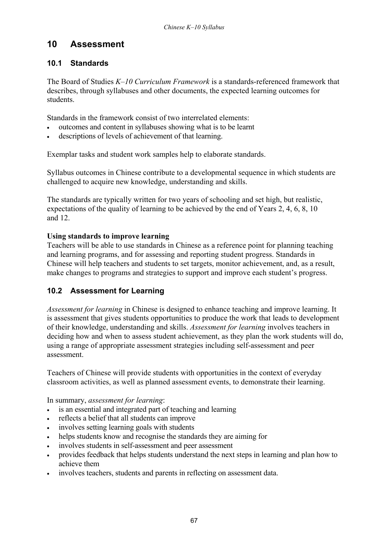# **10 Assessment**

### **10.1 Standards**

The Board of Studies *K*-10 Curriculum Framework is a standards-referenced framework that describes, through syllabuses and other documents, the expected learning outcomes for students.

Standards in the framework consist of two interrelated elements:

- outcomes and content in syllabuses showing what is to be learnt
- descriptions of levels of achievement of that learning.

Exemplar tasks and student work samples help to elaborate standards.

Syllabus outcomes in Chinese contribute to a developmental sequence in which students are challenged to acquire new knowledge, understanding and skills.

The standards are typically written for two years of schooling and set high, but realistic, expectations of the quality of learning to be achieved by the end of Years 2, 4, 6, 8, 10 and 12.

### **Using standards to improve learning**

Teachers will be able to use standards in Chinese as a reference point for planning teaching and learning programs, and for assessing and reporting student progress. Standards in Chinese will help teachers and students to set targets, monitor achievement, and, as a result, make changes to programs and strategies to support and improve each student's progress.

### **10.2 Assessment for Learning**

*Assessment for learning* in Chinese is designed to enhance teaching and improve learning. It is assessment that gives students opportunities to produce the work that leads to development of their knowledge, understanding and skills. *Assessment for learning* involves teachers in deciding how and when to assess student achievement, as they plan the work students will do, using a range of appropriate assessment strategies including self-assessment and peer assessment.

Teachers of Chinese will provide students with opportunities in the context of everyday classroom activities, as well as planned assessment events, to demonstrate their learning.

In summary, *assessment for learning*:

- is an essential and integrated part of teaching and learning
- reflects a belief that all students can improve
- involves setting learning goals with students
- helps students know and recognise the standards they are aiming for
- involves students in self-assessment and peer assessment
- provides feedback that helps students understand the next steps in learning and plan how to achieve them
- involves teachers, students and parents in reflecting on assessment data.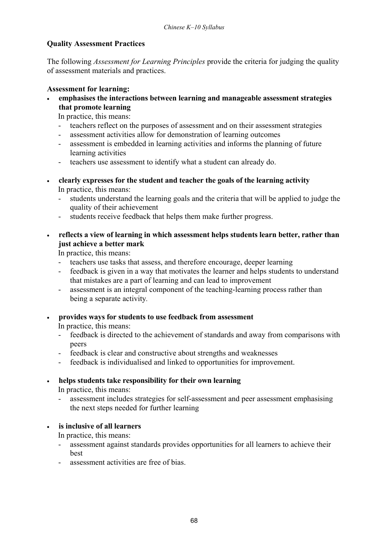### **Quality Assessment Practices**

The following *Assessment for Learning Principles* provide the criteria for judging the quality of assessment materials and practices.

#### **Assessment for learning:**

• **emphasises the interactions between learning and manageable assessment strategies that promote learning** 

In practice, this means:

- teachers reflect on the purposes of assessment and on their assessment strategies
- assessment activities allow for demonstration of learning outcomes
- assessment is embedded in learning activities and informs the planning of future learning activities
- teachers use assessment to identify what a student can already do.
- **clearly expresses for the student and teacher the goals of the learning activity**  In practice, this means:
	- students understand the learning goals and the criteria that will be applied to judge the quality of their achievement
	- students receive feedback that helps them make further progress.
- **reflects a view of learning in which assessment helps students learn better, rather than just achieve a better mark**

In practice, this means:

- teachers use tasks that assess, and therefore encourage, deeper learning
- feedback is given in a way that motivates the learner and helps students to understand that mistakes are a part of learning and can lead to improvement
- assessment is an integral component of the teaching-learning process rather than being a separate activity*.*
- **provides ways for students to use feedback from assessment**

In practice, this means:

- feedback is directed to the achievement of standards and away from comparisons with peers
- feedback is clear and constructive about strengths and weaknesses
- feedback is individualised and linked to opportunities for improvement.

### • **helps students take responsibility for their own learning**

In practice, this means:

- assessment includes strategies for self-assessment and peer assessment emphasising the next steps needed for further learning

• **is inclusive of all learners** 

In practice, this means:

- assessment against standards provides opportunities for all learners to achieve their best
- assessment activities are free of bias.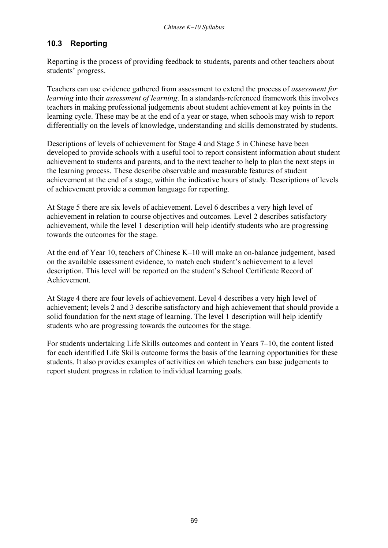### **10.3 Reporting**

Reporting is the process of providing feedback to students, parents and other teachers about students' progress.

Teachers can use evidence gathered from assessment to extend the process of *assessment for learning* into their *assessment of learning*. In a standards-referenced framework this involves teachers in making professional judgements about student achievement at key points in the learning cycle. These may be at the end of a year or stage, when schools may wish to report differentially on the levels of knowledge, understanding and skills demonstrated by students.

Descriptions of levels of achievement for Stage 4 and Stage 5 in Chinese have been developed to provide schools with a useful tool to report consistent information about student achievement to students and parents, and to the next teacher to help to plan the next steps in the learning process. These describe observable and measurable features of student achievement at the end of a stage, within the indicative hours of study. Descriptions of levels of achievement provide a common language for reporting.

At Stage 5 there are six levels of achievement. Level 6 describes a very high level of achievement in relation to course objectives and outcomes. Level 2 describes satisfactory achievement, while the level 1 description will help identify students who are progressing towards the outcomes for the stage.

At the end of Year 10, teachers of Chinese K $-10$  will make an on-balance judgement, based on the available assessment evidence, to match each student's achievement to a level description. This level will be reported on the student's School Certificate Record of Achievement.

At Stage 4 there are four levels of achievement. Level 4 describes a very high level of achievement; levels 2 and 3 describe satisfactory and high achievement that should provide a solid foundation for the next stage of learning. The level 1 description will help identify students who are progressing towards the outcomes for the stage.

For students undertaking Life Skills outcomes and content in Years  $7-10$ , the content listed for each identified Life Skills outcome forms the basis of the learning opportunities for these students. It also provides examples of activities on which teachers can base judgements to report student progress in relation to individual learning goals.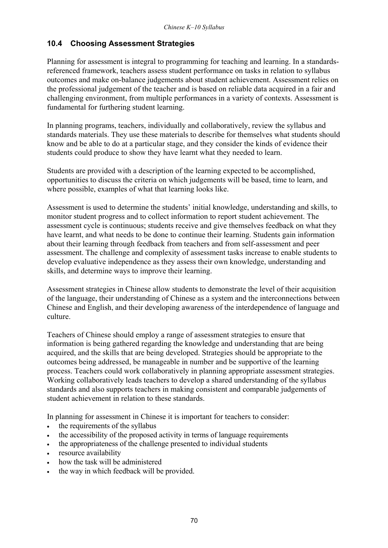### **10.4 Choosing Assessment Strategies**

Planning for assessment is integral to programming for teaching and learning. In a standardsreferenced framework, teachers assess student performance on tasks in relation to syllabus outcomes and make on-balance judgements about student achievement. Assessment relies on the professional judgement of the teacher and is based on reliable data acquired in a fair and challenging environment, from multiple performances in a variety of contexts. Assessment is fundamental for furthering student learning.

In planning programs, teachers, individually and collaboratively, review the syllabus and standards materials. They use these materials to describe for themselves what students should know and be able to do at a particular stage, and they consider the kinds of evidence their students could produce to show they have learnt what they needed to learn.

Students are provided with a description of the learning expected to be accomplished, opportunities to discuss the criteria on which judgements will be based, time to learn, and where possible, examples of what that learning looks like.

Assessment is used to determine the students' initial knowledge, understanding and skills, to monitor student progress and to collect information to report student achievement. The assessment cycle is continuous; students receive and give themselves feedback on what they have learnt, and what needs to be done to continue their learning. Students gain information about their learning through feedback from teachers and from self-assessment and peer assessment. The challenge and complexity of assessment tasks increase to enable students to develop evaluative independence as they assess their own knowledge, understanding and skills, and determine ways to improve their learning.

Assessment strategies in Chinese allow students to demonstrate the level of their acquisition of the language, their understanding of Chinese as a system and the interconnections between Chinese and English, and their developing awareness of the interdependence of language and culture.

Teachers of Chinese should employ a range of assessment strategies to ensure that information is being gathered regarding the knowledge and understanding that are being acquired, and the skills that are being developed. Strategies should be appropriate to the outcomes being addressed, be manageable in number and be supportive of the learning process. Teachers could work collaboratively in planning appropriate assessment strategies. Working collaboratively leads teachers to develop a shared understanding of the syllabus standards and also supports teachers in making consistent and comparable judgements of student achievement in relation to these standards.

In planning for assessment in Chinese it is important for teachers to consider:

- the requirements of the syllabus
- the accessibility of the proposed activity in terms of language requirements
- the appropriateness of the challenge presented to individual students
- resource availability
- how the task will be administered
- the way in which feedback will be provided.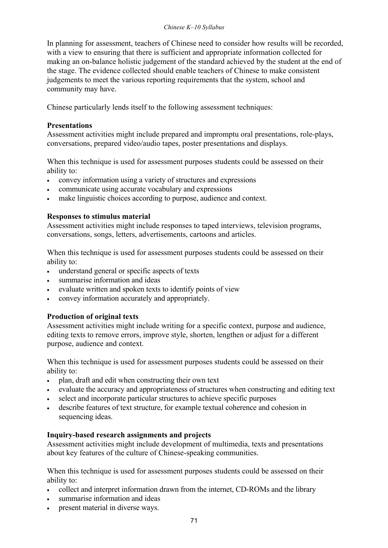#### *Chinese K-10 Syllabus*

In planning for assessment, teachers of Chinese need to consider how results will be recorded, with a view to ensuring that there is sufficient and appropriate information collected for making an on-balance holistic judgement of the standard achieved by the student at the end of the stage. The evidence collected should enable teachers of Chinese to make consistent judgements to meet the various reporting requirements that the system, school and community may have.

Chinese particularly lends itself to the following assessment techniques:

#### **Presentations**

Assessment activities might include prepared and impromptu oral presentations, role-plays, conversations, prepared video/audio tapes, poster presentations and displays.

When this technique is used for assessment purposes students could be assessed on their ability to:

- convey information using a variety of structures and expressions
- communicate using accurate vocabulary and expressions
- make linguistic choices according to purpose, audience and context.

#### **Responses to stimulus material**

Assessment activities might include responses to taped interviews, television programs, conversations, songs, letters, advertisements, cartoons and articles.

When this technique is used for assessment purposes students could be assessed on their ability to:

- understand general or specific aspects of texts
- summarise information and ideas
- evaluate written and spoken texts to identify points of view
- convey information accurately and appropriately.

### **Production of original texts**

Assessment activities might include writing for a specific context, purpose and audience, editing texts to remove errors, improve style, shorten, lengthen or adjust for a different purpose, audience and context.

When this technique is used for assessment purposes students could be assessed on their ability to:

- plan, draft and edit when constructing their own text
- evaluate the accuracy and appropriateness of structures when constructing and editing text
- select and incorporate particular structures to achieve specific purposes
- describe features of text structure, for example textual coherence and cohesion in sequencing ideas.

### **Inquiry-based research assignments and projects**

Assessment activities might include development of multimedia, texts and presentations about key features of the culture of Chinese-speaking communities.

When this technique is used for assessment purposes students could be assessed on their ability to:

- collect and interpret information drawn from the internet, CD-ROMs and the library
- summarise information and ideas
- present material in diverse ways.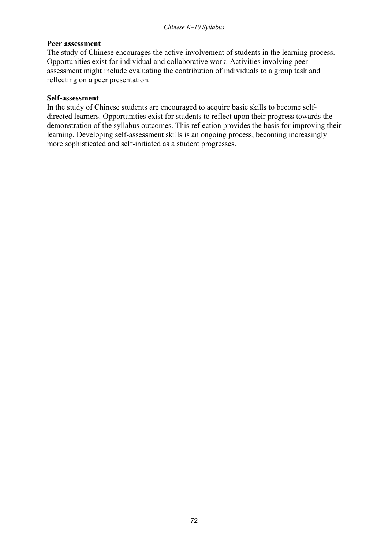#### **Peer assessment**

The study of Chinese encourages the active involvement of students in the learning process. Opportunities exist for individual and collaborative work. Activities involving peer assessment might include evaluating the contribution of individuals to a group task and reflecting on a peer presentation.

#### **Self-assessment**

In the study of Chinese students are encouraged to acquire basic skills to become selfdirected learners. Opportunities exist for students to reflect upon their progress towards the demonstration of the syllabus outcomes. This reflection provides the basis for improving their learning. Developing self-assessment skills is an ongoing process, becoming increasingly more sophisticated and self-initiated as a student progresses.